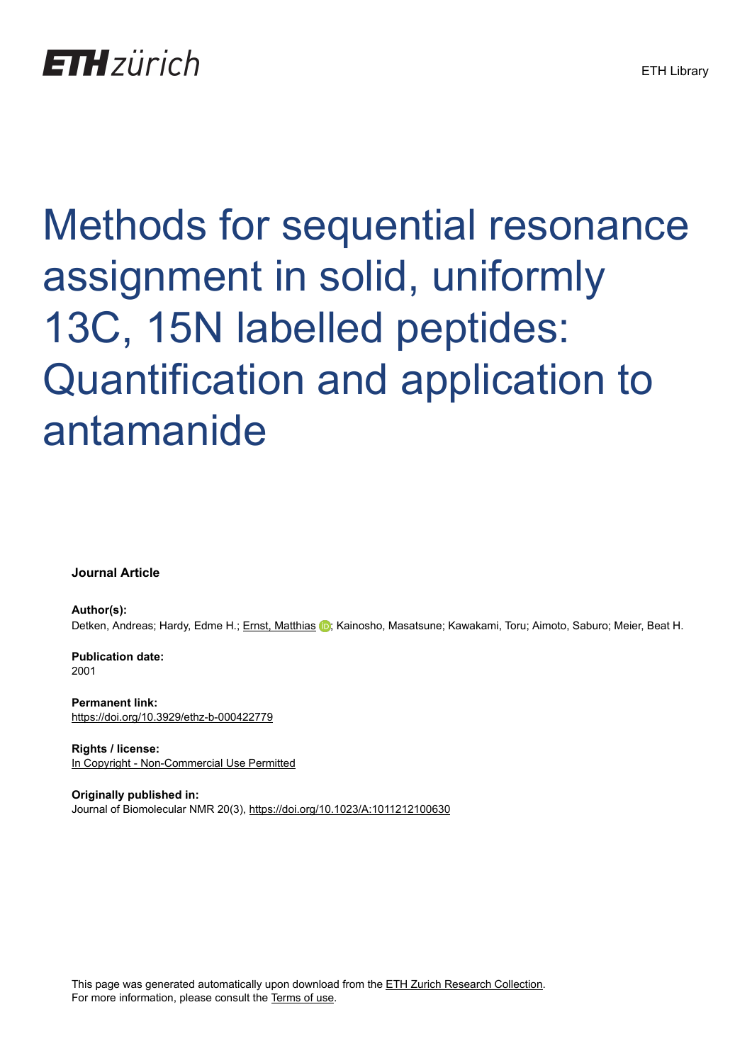# Methods for sequential resonance assignment in solid, uniformly 13C, 15N labelled peptides: Quantification and application to antamanide

**Journal Article**

**Author(s):** Detken, Andreas; Hardy, Edme H.; [Ernst, Matthias](https://orcid.org/0000-0002-9538-6086) (D; Kainosho, Masatsune; Kawakami, Toru; Aimoto, Saburo; Meier, Beat H.

**Publication date:** 2001

**Permanent link:** <https://doi.org/10.3929/ethz-b-000422779>

**Rights / license:** [In Copyright - Non-Commercial Use Permitted](http://rightsstatements.org/page/InC-NC/1.0/)

**Originally published in:** Journal of Biomolecular NMR 20(3),<https://doi.org/10.1023/A:1011212100630>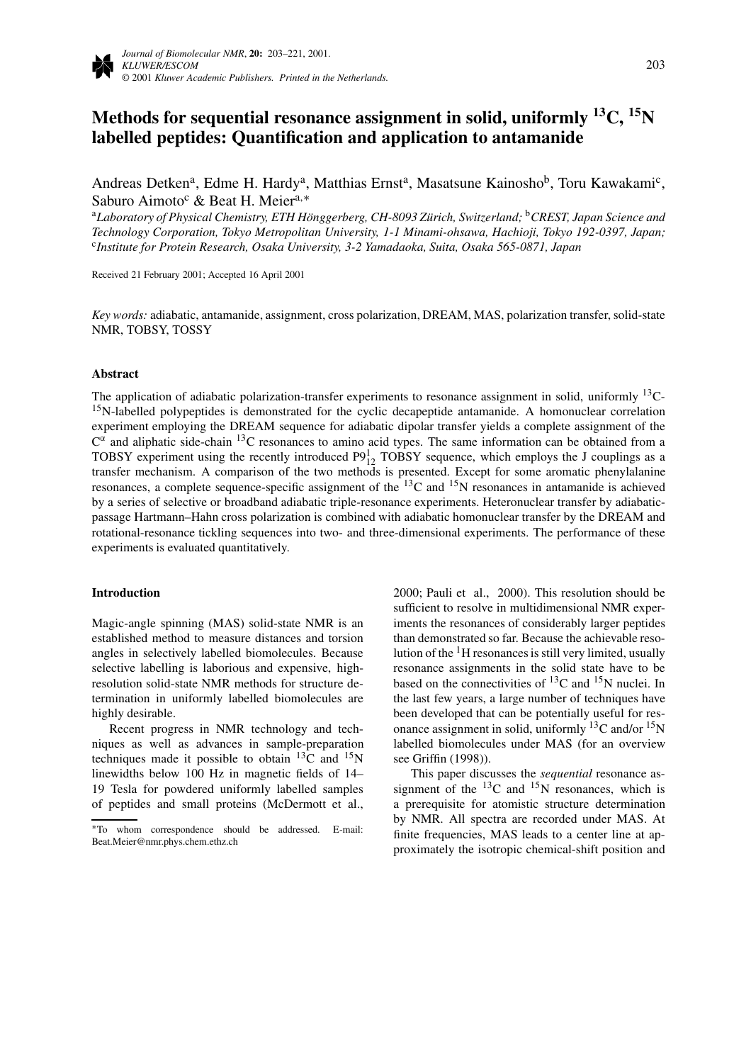# **Methods for sequential resonance assignment in solid, uniformly 13C, 15N labelled peptides: Quantification and application to antamanide**

Andreas Detken<sup>a</sup>, Edme H. Hardy<sup>a</sup>, Matthias Ernst<sup>a</sup>, Masatsune Kainosho<sup>b</sup>, Toru Kawakami<sup>c</sup>, Saburo Aimoto<sup>c</sup> & Beat H. Meier<sup>a,∗</sup>

<sup>a</sup>*Laboratory of Physical Chemistry, ETH Hönggerberg, CH-8093 Zürich, Switzerland;* <sup>b</sup>*CREST, Japan Science and Technology Corporation, Tokyo Metropolitan University, 1-1 Minami-ohsawa, Hachioji, Tokyo 192-0397, Japan;* <sup>c</sup>*Institute for Protein Research, Osaka University, 3-2 Yamadaoka, Suita, Osaka 565-0871, Japan*

Received 21 February 2001; Accepted 16 April 2001

*Key words:* adiabatic, antamanide, assignment, cross polarization, DREAM, MAS, polarization transfer, solid-state NMR, TOBSY, TOSSY

#### **Abstract**

The application of adiabatic polarization-transfer experiments to resonance assignment in solid, uniformly <sup>13</sup>C-<sup>15</sup>N-labelled polypeptides is demonstrated for the cyclic decapeptide antamanide. A homonuclear correlation experiment employing the DREAM sequence for adiabatic dipolar transfer yields a complete assignment of the  $C^{\alpha}$  and aliphatic side-chain <sup>13</sup>C resonances to amino acid types. The same information can be obtained from a TOBSY experiment using the recently introduced  $P9_{12}^1$  TOBSY sequence, which employs the J couplings as a transfer mechanism. A comparison of the two methods is presented. Except for some aromatic phenylalanine resonances, a complete sequence-specific assignment of the 13C and 15N resonances in antamanide is achieved by a series of selective or broadband adiabatic triple-resonance experiments. Heteronuclear transfer by adiabaticpassage Hartmann–Hahn cross polarization is combined with adiabatic homonuclear transfer by the DREAM and rotational-resonance tickling sequences into two- and three-dimensional experiments. The performance of these experiments is evaluated quantitatively.

#### **Introduction**

Magic-angle spinning (MAS) solid-state NMR is an established method to measure distances and torsion angles in selectively labelled biomolecules. Because selective labelling is laborious and expensive, highresolution solid-state NMR methods for structure determination in uniformly labelled biomolecules are highly desirable.

Recent progress in NMR technology and techniques as well as advances in sample-preparation techniques made it possible to obtain  $^{13}$ C and  $^{15}$ N linewidths below 100 Hz in magnetic fields of 14– 19 Tesla for powdered uniformly labelled samples of peptides and small proteins (McDermott et al.,

2000; Pauli et al., 2000). This resolution should be sufficient to resolve in multidimensional NMR experiments the resonances of considerably larger peptides than demonstrated so far. Because the achievable resolution of the  $\rm{^1H}$  resonances is still very limited, usually resonance assignments in the solid state have to be based on the connectivities of  $^{13}$ C and  $^{15}$ N nuclei. In the last few years, a large number of techniques have been developed that can be potentially useful for resonance assignment in solid, uniformly  ${}^{13}C$  and/or  ${}^{15}N$ labelled biomolecules under MAS (for an overview see Griffin (1998)).

This paper discusses the *sequential* resonance assignment of the  $^{13}$ C and  $^{15}$ N resonances, which is a prerequisite for atomistic structure determination by NMR. All spectra are recorded under MAS. At finite frequencies, MAS leads to a center line at approximately the isotropic chemical-shift position and

<sup>∗</sup>To whom correspondence should be addressed. E-mail: Beat.Meier@nmr.phys.chem.ethz.ch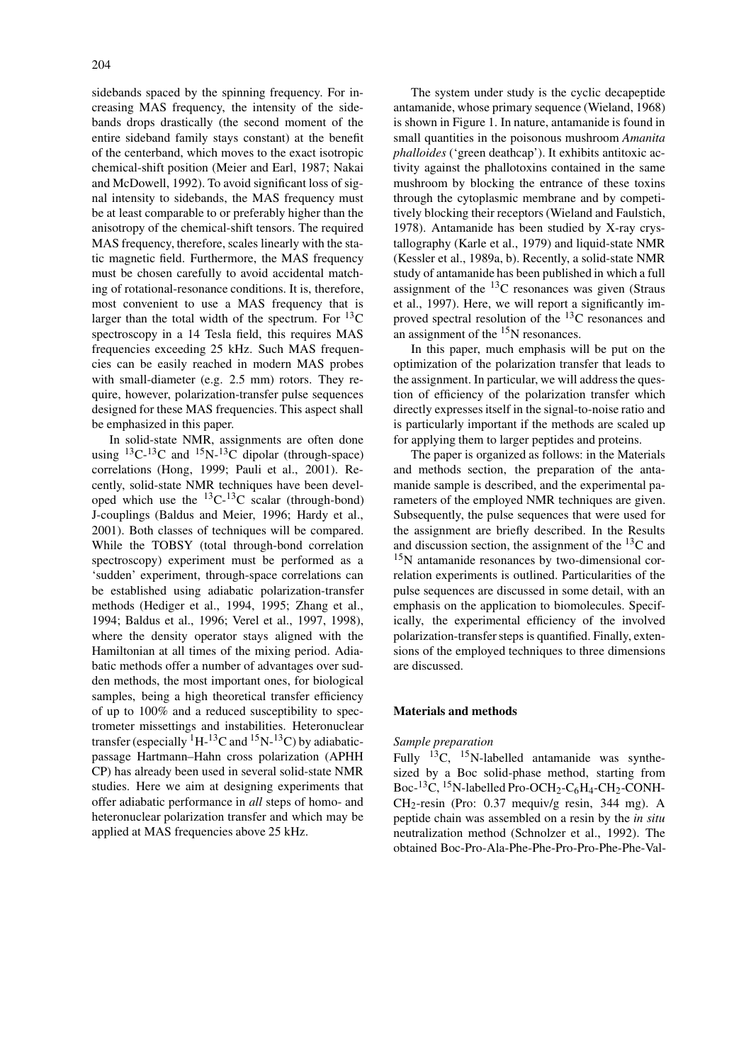sidebands spaced by the spinning frequency. For increasing MAS frequency, the intensity of the sidebands drops drastically (the second moment of the entire sideband family stays constant) at the benefit of the centerband, which moves to the exact isotropic chemical-shift position (Meier and Earl, 1987; Nakai and McDowell, 1992). To avoid significant loss of signal intensity to sidebands, the MAS frequency must be at least comparable to or preferably higher than the anisotropy of the chemical-shift tensors. The required MAS frequency, therefore, scales linearly with the static magnetic field. Furthermore, the MAS frequency must be chosen carefully to avoid accidental matching of rotational-resonance conditions. It is, therefore, most convenient to use a MAS frequency that is larger than the total width of the spectrum. For  ${}^{13}C$ spectroscopy in a 14 Tesla field, this requires MAS frequencies exceeding 25 kHz. Such MAS frequencies can be easily reached in modern MAS probes with small-diameter (e.g. 2.5 mm) rotors. They require, however, polarization-transfer pulse sequences designed for these MAS frequencies. This aspect shall be emphasized in this paper.

In solid-state NMR, assignments are often done using  ${}^{13}C^{-13}C$  and  ${}^{15}N^{-13}C$  dipolar (through-space) correlations (Hong, 1999; Pauli et al., 2001). Recently, solid-state NMR techniques have been developed which use the  ${}^{13}C-{}^{13}C$  scalar (through-bond) J-couplings (Baldus and Meier, 1996; Hardy et al., 2001). Both classes of techniques will be compared. While the TOBSY (total through-bond correlation spectroscopy) experiment must be performed as a 'sudden' experiment, through-space correlations can be established using adiabatic polarization-transfer methods (Hediger et al., 1994, 1995; Zhang et al., 1994; Baldus et al., 1996; Verel et al., 1997, 1998), where the density operator stays aligned with the Hamiltonian at all times of the mixing period. Adiabatic methods offer a number of advantages over sudden methods, the most important ones, for biological samples, being a high theoretical transfer efficiency of up to 100% and a reduced susceptibility to spectrometer missettings and instabilities. Heteronuclear transfer (especially  ${}^{1}H-{}^{13}C$  and  ${}^{15}N-{}^{13}C$ ) by adiabaticpassage Hartmann–Hahn cross polarization (APHH CP) has already been used in several solid-state NMR studies. Here we aim at designing experiments that offer adiabatic performance in *all* steps of homo- and heteronuclear polarization transfer and which may be applied at MAS frequencies above 25 kHz.

The system under study is the cyclic decapeptide antamanide, whose primary sequence (Wieland, 1968) is shown in Figure 1. In nature, antamanide is found in small quantities in the poisonous mushroom *Amanita phalloides* ('green deathcap'). It exhibits antitoxic activity against the phallotoxins contained in the same mushroom by blocking the entrance of these toxins through the cytoplasmic membrane and by competitively blocking their receptors (Wieland and Faulstich, 1978). Antamanide has been studied by X-ray crystallography (Karle et al., 1979) and liquid-state NMR (Kessler et al., 1989a, b). Recently, a solid-state NMR study of antamanide has been published in which a full assignment of the  $^{13}$ C resonances was given (Straus et al., 1997). Here, we will report a significantly improved spectral resolution of the 13C resonances and an assignment of the  $15N$  resonances.

In this paper, much emphasis will be put on the optimization of the polarization transfer that leads to the assignment. In particular, we will address the question of efficiency of the polarization transfer which directly expresses itself in the signal-to-noise ratio and is particularly important if the methods are scaled up for applying them to larger peptides and proteins.

The paper is organized as follows: in the Materials and methods section, the preparation of the antamanide sample is described, and the experimental parameters of the employed NMR techniques are given. Subsequently, the pulse sequences that were used for the assignment are briefly described. In the Results and discussion section, the assignment of the  $^{13}$ C and  $15$ N antamanide resonances by two-dimensional correlation experiments is outlined. Particularities of the pulse sequences are discussed in some detail, with an emphasis on the application to biomolecules. Specifically, the experimental efficiency of the involved polarization-transfer steps is quantified. Finally, extensions of the employed techniques to three dimensions are discussed.

#### **Materials and methods**

## *Sample preparation*

Fully  $^{13}$ C,  $^{15}$ N-labelled antamanide was synthesized by a Boc solid-phase method, starting from Boc- ${}^{13}C, {}^{15}N$ -labelled Pro-OCH<sub>2</sub>-C<sub>6</sub>H<sub>4</sub>-CH<sub>2</sub>-CONH-CH2-resin (Pro: 0.37 mequiv/g resin, 344 mg). A peptide chain was assembled on a resin by the *in situ* neutralization method (Schnolzer et al., 1992). The obtained Boc-Pro-Ala-Phe-Phe-Pro-Pro-Phe-Phe-Val-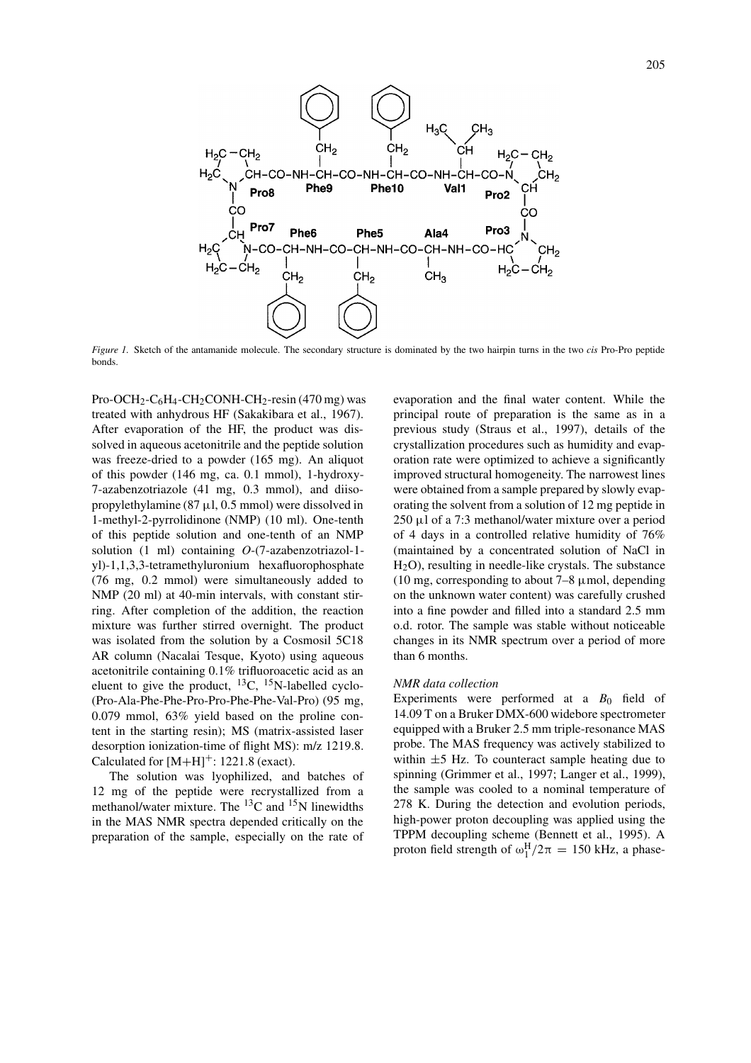

*Figure 1.* Sketch of the antamanide molecule. The secondary structure is dominated by the two hairpin turns in the two *cis* Pro-Pro peptide bonds.

Pro-OCH<sub>2</sub>-C<sub>6</sub>H<sub>4</sub>-CH<sub>2</sub>CONH-CH<sub>2</sub>-resin (470 mg) was treated with anhydrous HF (Sakakibara et al., 1967). After evaporation of the HF, the product was dissolved in aqueous acetonitrile and the peptide solution was freeze-dried to a powder (165 mg). An aliquot of this powder (146 mg, ca. 0.1 mmol), 1-hydroxy-7-azabenzotriazole (41 mg, 0.3 mmol), and diisopropylethylamine (87  $\mu$ 1, 0.5 mmol) were dissolved in 1-methyl-2-pyrrolidinone (NMP) (10 ml). One-tenth of this peptide solution and one-tenth of an NMP solution (1 ml) containing *O*-(7-azabenzotriazol-1 yl)-1,1,3,3-tetramethyluronium hexafluorophosphate (76 mg, 0.2 mmol) were simultaneously added to NMP (20 ml) at 40-min intervals, with constant stirring. After completion of the addition, the reaction mixture was further stirred overnight. The product was isolated from the solution by a Cosmosil 5C18 AR column (Nacalai Tesque, Kyoto) using aqueous acetonitrile containing 0.1% trifluoroacetic acid as an eluent to give the product,  $^{13}C$ ,  $^{15}N$ -labelled cyclo-(Pro-Ala-Phe-Phe-Pro-Pro-Phe-Phe-Val-Pro) (95 mg, 0.079 mmol, 63% yield based on the proline content in the starting resin); MS (matrix-assisted laser desorption ionization-time of flight MS): m/z 1219.8. Calculated for  $[M+H]^+$ : 1221.8 (exact).

The solution was lyophilized, and batches of 12 mg of the peptide were recrystallized from a methanol/water mixture. The  ${}^{13}$ C and  ${}^{15}$ N linewidths in the MAS NMR spectra depended critically on the preparation of the sample, especially on the rate of evaporation and the final water content. While the principal route of preparation is the same as in a previous study (Straus et al., 1997), details of the crystallization procedures such as humidity and evaporation rate were optimized to achieve a significantly improved structural homogeneity. The narrowest lines were obtained from a sample prepared by slowly evaporating the solvent from a solution of 12 mg peptide in  $250 \mu$ l of a 7:3 methanol/water mixture over a period of 4 days in a controlled relative humidity of 76% (maintained by a concentrated solution of NaCl in H2O), resulting in needle-like crystals. The substance (10 mg, corresponding to about  $7-8 \mu$  mol, depending on the unknown water content) was carefully crushed into a fine powder and filled into a standard 2.5 mm o.d. rotor. The sample was stable without noticeable changes in its NMR spectrum over a period of more than 6 months.

## *NMR data collection*

Experiments were performed at a  $B_0$  field of 14.09 T on a Bruker DMX-600 widebore spectrometer equipped with a Bruker 2.5 mm triple-resonance MAS probe. The MAS frequency was actively stabilized to within  $\pm$ 5 Hz. To counteract sample heating due to spinning (Grimmer et al., 1997; Langer et al., 1999), the sample was cooled to a nominal temperature of 278 K. During the detection and evolution periods, high-power proton decoupling was applied using the TPPM decoupling scheme (Bennett et al., 1995). A proton field strength of  $\omega_1^H/2\pi = 150$  kHz, a phase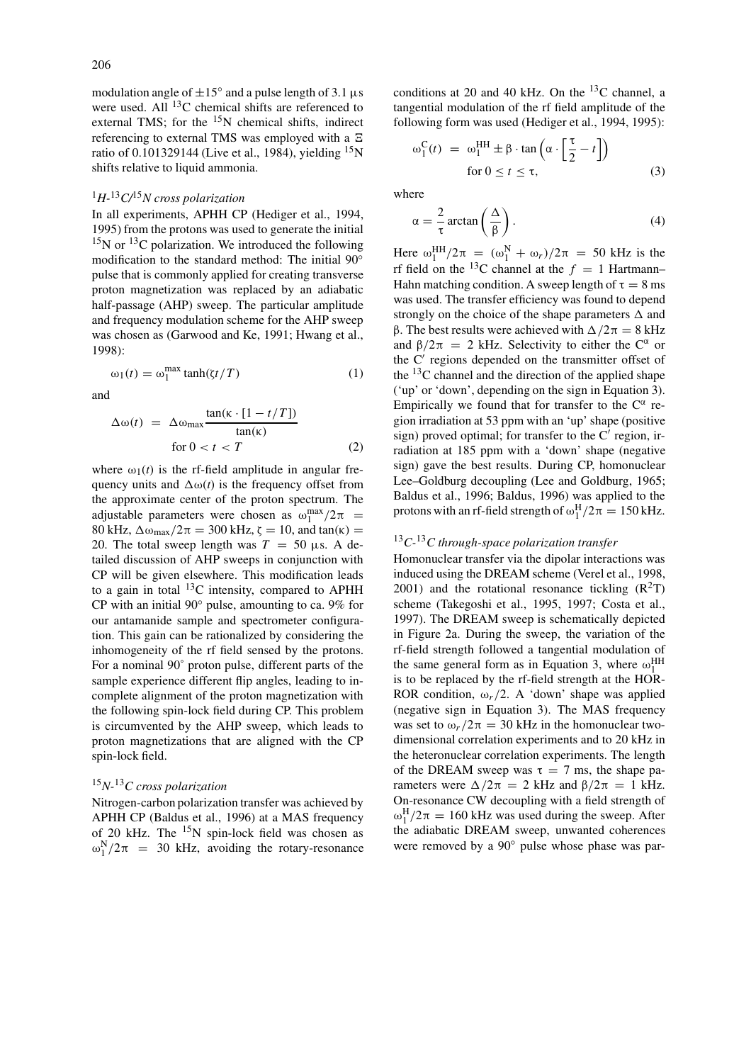modulation angle of  $\pm 15^\circ$  and a pulse length of 3.1 µs were used. All <sup>13</sup>C chemical shifts are referenced to external TMS; for the  $15N$  chemical shifts, indirect referencing to external TMS was employed with a ratio of 0.101329144 (Live et al., 1984), yielding 15N shifts relative to liquid ammonia.

# <sup>1</sup>*H-*13*C/*15*N cross polarization*

In all experiments, APHH CP (Hediger et al., 1994, 1995) from the protons was used to generate the initial  $15$ N or  $13$ C polarization. We introduced the following modification to the standard method: The initial 90◦ pulse that is commonly applied for creating transverse proton magnetization was replaced by an adiabatic half-passage (AHP) sweep. The particular amplitude and frequency modulation scheme for the AHP sweep was chosen as (Garwood and Ke, 1991; Hwang et al., 1998):

$$
\omega_1(t) = \omega_1^{\max} \tanh(\zeta t/T) \tag{1}
$$

and

$$
\Delta \omega(t) = \Delta \omega_{\text{max}} \frac{\tan(\kappa \cdot [1 - t/T])}{\tan(\kappa)}
$$
  
for  $0 < t < T$  (2)

where  $\omega_1(t)$  is the rf-field amplitude in angular frequency units and  $\Delta\omega(t)$  is the frequency offset from the approximate center of the proton spectrum. The adjustable parameters were chosen as  $\omega_1^{\text{max}}/2\pi$  = 80 kHz,  $\Delta \omega_{\text{max}}/2\pi = 300$  kHz,  $\zeta = 10$ , and tan(κ) = 20. The total sweep length was  $T = 50 \mu s$ . A detailed discussion of AHP sweeps in conjunction with CP will be given elsewhere. This modification leads to a gain in total  $^{13}$ C intensity, compared to APHH CP with an initial 90◦ pulse, amounting to ca. 9% for our antamanide sample and spectrometer configuration. This gain can be rationalized by considering the inhomogeneity of the rf field sensed by the protons. For a nominal 90˚ proton pulse, different parts of the sample experience different flip angles, leading to incomplete alignment of the proton magnetization with the following spin-lock field during CP. This problem is circumvented by the AHP sweep, which leads to proton magnetizations that are aligned with the CP spin-lock field.

# <sup>15</sup>*N-*13*C cross polarization*

Nitrogen-carbon polarization transfer was achieved by APHH CP (Baldus et al., 1996) at a MAS frequency of 20 kHz. The  $15N$  spin-lock field was chosen as  $\omega_1^N/2\pi$  = 30 kHz, avoiding the rotary-resonance conditions at 20 and 40 kHz. On the  $^{13}$ C channel, a tangential modulation of the rf field amplitude of the following form was used (Hediger et al., 1994, 1995):

$$
\omega_1^{\text{C}}(t) = \omega_1^{\text{HH}} \pm \beta \cdot \tan\left(\alpha \cdot \left[\frac{\tau}{2} - t\right]\right)
$$
  
for  $0 \le t \le \tau$ , (3)

where

$$
\alpha = \frac{2}{\tau} \arctan\left(\frac{\Delta}{\beta}\right). \tag{4}
$$

Here  $ω_1^{\text{HH}}/2\pi = (ω_1^{\text{N}} + ω_r)/2\pi = 50 \text{ kHz}$  is the rf field on the <sup>13</sup>C channel at the  $f = 1$  Hartmann– Hahn matching condition. A sweep length of  $\tau = 8$  ms was used. The transfer efficiency was found to depend strongly on the choice of the shape parameters  $\Delta$  and β. The best results were achieved with  $\Delta/2\pi = 8$  kHz and  $\beta/2\pi = 2$  kHz. Selectivity to either the C<sup>α</sup> or the C' regions depended on the transmitter offset of the  $^{13}$ C channel and the direction of the applied shape ('up' or 'down', depending on the sign in Equation 3). Empirically we found that for transfer to the  $C^{\alpha}$  region irradiation at 53 ppm with an 'up' shape (positive sign) proved optimal; for transfer to the  $C'$  region, irradiation at 185 ppm with a 'down' shape (negative sign) gave the best results. During CP, homonuclear Lee–Goldburg decoupling (Lee and Goldburg, 1965; Baldus et al., 1996; Baldus, 1996) was applied to the protons with an rf-field strength of  $\omega_1^H/2\pi = 150$  kHz.

## <sup>13</sup>*C-*13*C through-space polarization transfer*

Homonuclear transfer via the dipolar interactions was induced using the DREAM scheme (Verel et al., 1998, 2001) and the rotational resonance tickling  $(R<sup>2</sup>T)$ scheme (Takegoshi et al., 1995, 1997; Costa et al., 1997). The DREAM sweep is schematically depicted in Figure 2a. During the sweep, the variation of the rf-field strength followed a tangential modulation of the same general form as in Equation 3, where  $\omega_1^{\text{HH}}$ is to be replaced by the rf-field strength at the HOR-ROR condition,  $\omega_r/2$ . A 'down' shape was applied (negative sign in Equation 3). The MAS frequency was set to  $\omega_r/2\pi = 30$  kHz in the homonuclear twodimensional correlation experiments and to 20 kHz in the heteronuclear correlation experiments. The length of the DREAM sweep was  $\tau = 7$  ms, the shape parameters were  $Δ/2π = 2$  kHz and  $β/2π = 1$  kHz. On-resonance CW decoupling with a field strength of  $\omega_1^H/2\pi = 160$  kHz was used during the sweep. After the adiabatic DREAM sweep, unwanted coherences were removed by a 90◦ pulse whose phase was par-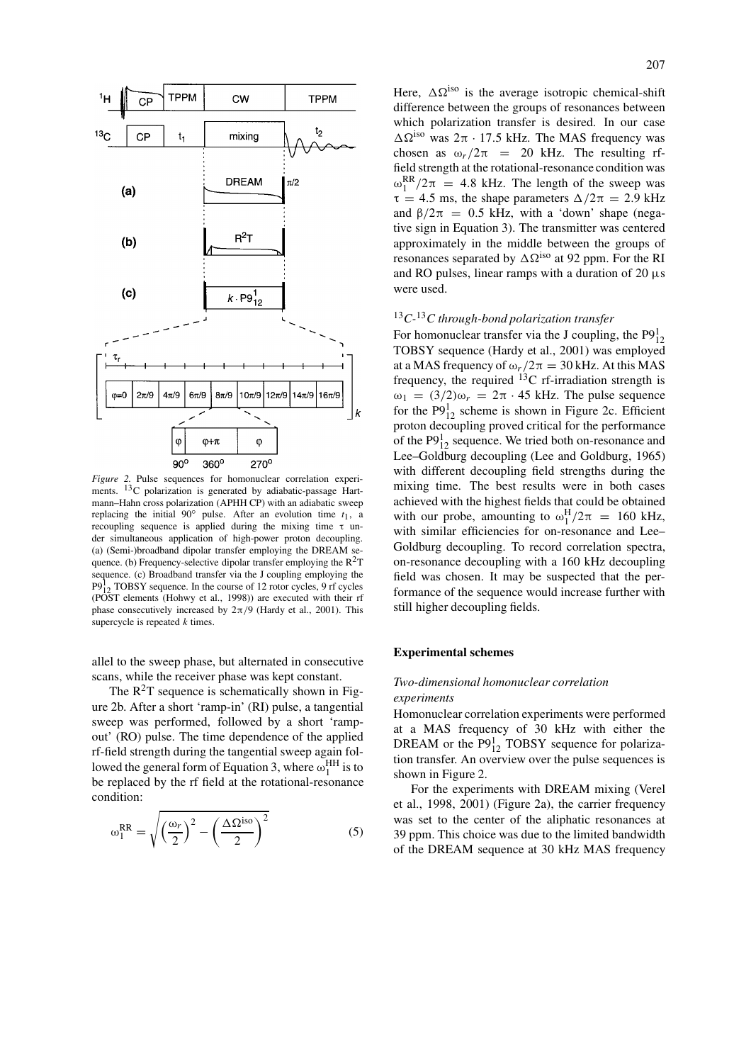

*Figure 2.* Pulse sequences for homonuclear correlation experiments. <sup>13</sup>C polarization is generated by adiabatic-passage Hartmann–Hahn cross polarization (APHH CP) with an adiabatic sweep replacing the initial  $90°$  pulse. After an evolution time  $t_1$ , a recoupling sequence is applied during the mixing time τ under simultaneous application of high-power proton decoupling. (a) (Semi-)broadband dipolar transfer employing the DREAM sequence. (b) Frequency-selective dipolar transfer employing the  $R^2T$ sequence. (c) Broadband transfer via the J coupling employing the  $P9<sup>1</sup><sub>12</sub>$  TOBSY sequence. In the course of 12 rotor cycles, 9 rf cycles (POST elements (Hohwy et al., 1998)) are executed with their rf phase consecutively increased by  $2\pi/9$  (Hardy et al., 2001). This supercycle is repeated *k* times.

allel to the sweep phase, but alternated in consecutive scans, while the receiver phase was kept constant.

The  $R^2T$  sequence is schematically shown in Figure 2b. After a short 'ramp-in' (RI) pulse, a tangential sweep was performed, followed by a short 'rampout' (RO) pulse. The time dependence of the applied rf-field strength during the tangential sweep again followed the general form of Equation 3, where  $\omega_1^{\text{HH}}$  is to be replaced by the rf field at the rotational-resonance condition:

$$
\omega_1^{RR} = \sqrt{\left(\frac{\omega_r}{2}\right)^2 - \left(\frac{\Delta\Omega^{iso}}{2}\right)^2}
$$
 (5)

Here,  $\Delta \Omega^{iso}$  is the average isotropic chemical-shift difference between the groups of resonances between which polarization transfer is desired. In our case  $ΔΩ<sup>iso</sup>$  was  $2π · 17.5$  kHz. The MAS frequency was chosen as  $\omega_r/2\pi$  = 20 kHz. The resulting rffield strength at the rotational-resonance condition was  $\omega_1^{\text{RR}}/2\pi$  = 4.8 kHz. The length of the sweep was  $\tau = 4.5$  ms, the shape parameters  $\Delta/2\pi = 2.9$  kHz and  $\beta/2\pi$  = 0.5 kHz, with a 'down' shape (negative sign in Equation 3). The transmitter was centered approximately in the middle between the groups of resonances separated by  $\Delta \Omega^{iso}$  at 92 ppm. For the RI and RO pulses, linear ramps with a duration of 20  $\mu$ s were used.

# <sup>13</sup>*C-*13*C through-bond polarization transfer*

For homonuclear transfer via the J coupling, the  $P9_{12}^1$ TOBSY sequence (Hardy et al., 2001) was employed at a MAS frequency of  $\omega_r/2\pi = 30$  kHz. At this MAS frequency, the required  $^{13}$ C rf-irradiation strength is  $ω_1 = (3/2)ω_r = 2π · 45$  kHz. The pulse sequence for the  $P9_{12}^1$  scheme is shown in Figure 2c. Efficient proton decoupling proved critical for the performance of the  $P9_{12}^1$  sequence. We tried both on-resonance and Lee–Goldburg decoupling (Lee and Goldburg, 1965) with different decoupling field strengths during the mixing time. The best results were in both cases achieved with the highest fields that could be obtained with our probe, amounting to  $\omega_1^H/2\pi = 160$  kHz, with similar efficiencies for on-resonance and Lee– Goldburg decoupling. To record correlation spectra, on-resonance decoupling with a 160 kHz decoupling field was chosen. It may be suspected that the performance of the sequence would increase further with still higher decoupling fields.

#### **Experimental schemes**

# *Two-dimensional homonuclear correlation experiments*

Homonuclear correlation experiments were performed at a MAS frequency of 30 kHz with either the DREAM or the  $P9_{12}^1$  TOBSY sequence for polarization transfer. An overview over the pulse sequences is shown in Figure 2.

For the experiments with DREAM mixing (Verel et al., 1998, 2001) (Figure 2a), the carrier frequency was set to the center of the aliphatic resonances at 39 ppm. This choice was due to the limited bandwidth of the DREAM sequence at 30 kHz MAS frequency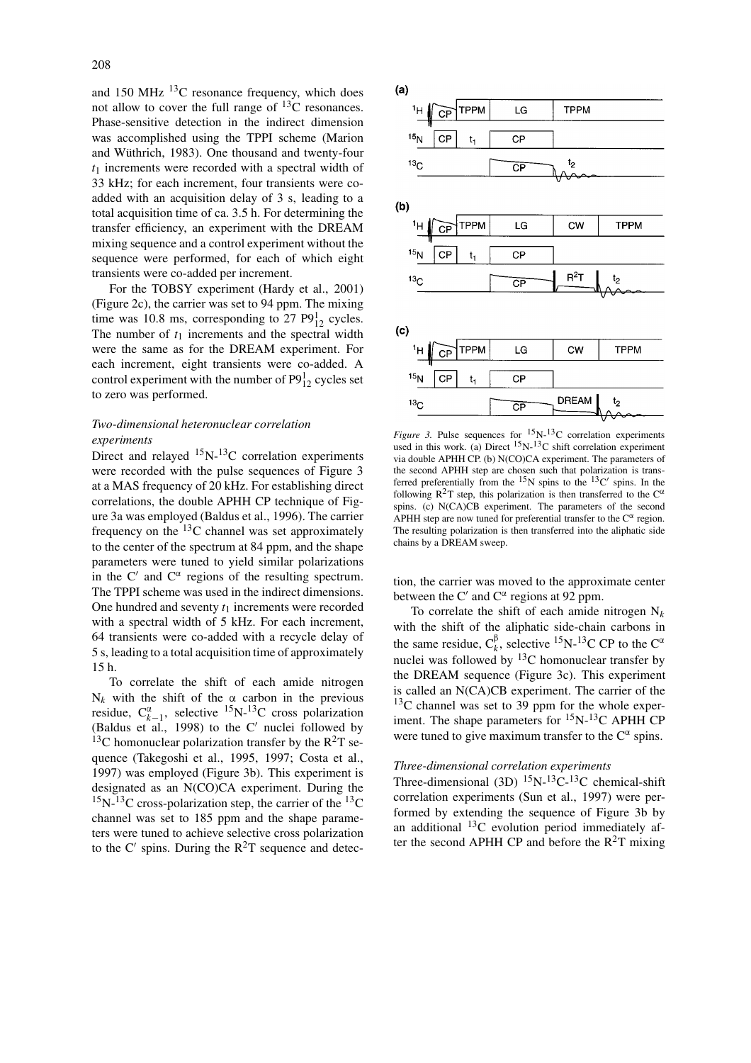and 150 MHz  $^{13}$ C resonance frequency, which does not allow to cover the full range of  $^{13}$ C resonances. Phase-sensitive detection in the indirect dimension was accomplished using the TPPI scheme (Marion and Wüthrich, 1983). One thousand and twenty-four *t*<sup>1</sup> increments were recorded with a spectral width of 33 kHz; for each increment, four transients were coadded with an acquisition delay of 3 s, leading to a total acquisition time of ca. 3.5 h. For determining the transfer efficiency, an experiment with the DREAM mixing sequence and a control experiment without the sequence were performed, for each of which eight transients were co-added per increment.

For the TOBSY experiment (Hardy et al., 2001) (Figure 2c), the carrier was set to 94 ppm. The mixing time was 10.8 ms, corresponding to 27  $P9_{12}^1$  cycles. The number of  $t_1$  increments and the spectral width were the same as for the DREAM experiment. For each increment, eight transients were co-added. A control experiment with the number of  $P9_{12}^1$  cycles set to zero was performed.

# *Two-dimensional heteronuclear correlation experiments*

Direct and relayed  $^{15}N^{-13}C$  correlation experiments were recorded with the pulse sequences of Figure 3 at a MAS frequency of 20 kHz. For establishing direct correlations, the double APHH CP technique of Figure 3a was employed (Baldus et al., 1996). The carrier frequency on the 13C channel was set approximately to the center of the spectrum at 84 ppm, and the shape parameters were tuned to yield similar polarizations in the C' and  $C^{\alpha}$  regions of the resulting spectrum. The TPPI scheme was used in the indirect dimensions. One hundred and seventy  $t_1$  increments were recorded with a spectral width of 5 kHz. For each increment, 64 transients were co-added with a recycle delay of 5 s, leading to a total acquisition time of approximately 15 h.

To correlate the shift of each amide nitrogen  $N_k$  with the shift of the  $\alpha$  carbon in the previous residue,  $C_{k-1}^{\alpha}$ , selective <sup>15</sup>N-<sup>13</sup>C cross polarization (Baldus et al., 1998) to the  $C'$  nuclei followed by <sup>13</sup>C homonuclear polarization transfer by the  $R^2T$  sequence (Takegoshi et al., 1995, 1997; Costa et al., 1997) was employed (Figure 3b). This experiment is designated as an N(CO)CA experiment. During the  $15$ N- $13$ C cross-polarization step, the carrier of the  $13$ C channel was set to 185 ppm and the shape parameters were tuned to achieve selective cross polarization to the C' spins. During the  $R^2T$  sequence and detec-



*Figure 3.* Pulse sequences for  ${}^{15}N-{}^{13}C$  correlation experiments used in this work. (a) Direct  ${}^{15}N-{}^{13}C$  shift correlation experiment via double APHH CP. (b) N(CO)CA experiment. The parameters of the second APHH step are chosen such that polarization is transferred preferentially from the  $^{15}N$  spins to the  $^{13}C'$  spins. In the following  $R^2T$  step, this polarization is then transferred to the  $C^{\alpha}$ spins. (c) N(CA)CB experiment. The parameters of the second APHH step are now tuned for preferential transfer to the  $C^{\alpha}$  region. The resulting polarization is then transferred into the aliphatic side chains by a DREAM sweep.

tion, the carrier was moved to the approximate center between the C' and  $C^{\alpha}$  regions at 92 ppm.

To correlate the shift of each amide nitrogen  $N_k$ with the shift of the aliphatic side-chain carbons in the same residue,  $C_k^{\beta}$ , selective <sup>15</sup>N-<sup>13</sup>C CP to the C<sup> $\alpha$ </sup> nuclei was followed by  $^{13}$ C homonuclear transfer by the DREAM sequence (Figure 3c). This experiment is called an N(CA)CB experiment. The carrier of the  $13<sup>C</sup>$  channel was set to 39 ppm for the whole experiment. The shape parameters for  ${}^{15}N-{}^{13}C$  APHH CP were tuned to give maximum transfer to the  $C^{\alpha}$  spins.

# *Three-dimensional correlation experiments*

Three-dimensional (3D)  $^{15}N^{-13}C^{-13}C$  chemical-shift correlation experiments (Sun et al., 1997) were performed by extending the sequence of Figure 3b by an additional 13C evolution period immediately after the second APHH CP and before the  $R^2T$  mixing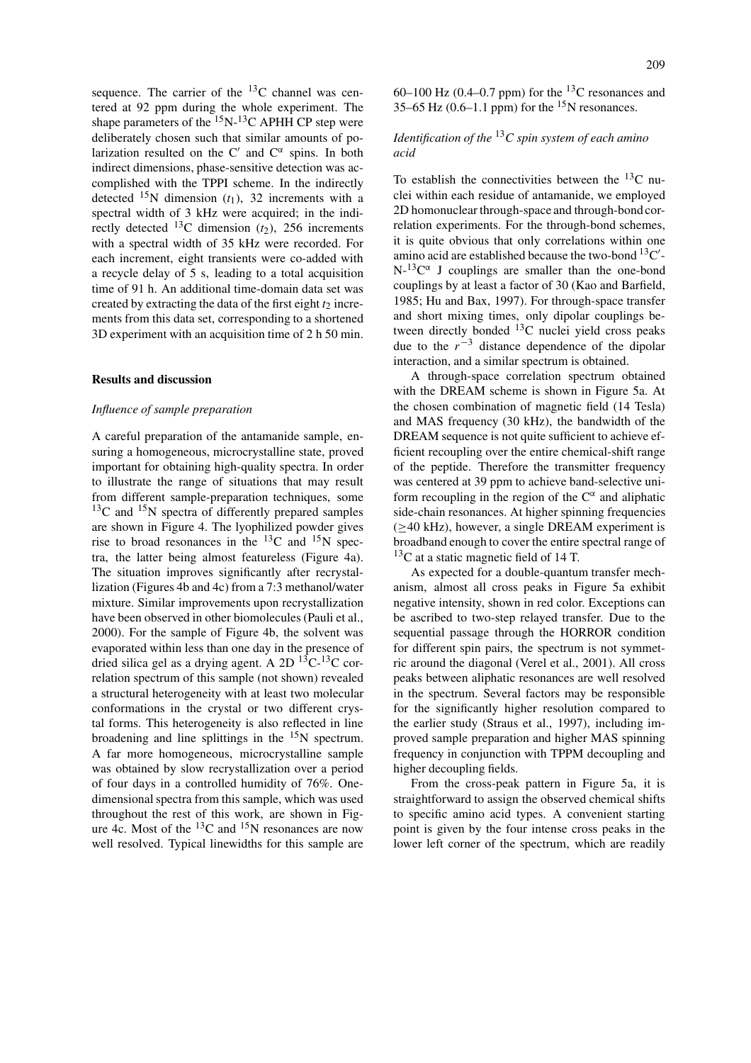sequence. The carrier of the  $^{13}$ C channel was centered at 92 ppm during the whole experiment. The shape parameters of the  $^{15}$ N- $^{13}$ C APHH CP step were deliberately chosen such that similar amounts of polarization resulted on the C' and  $C^{\alpha}$  spins. In both indirect dimensions, phase-sensitive detection was accomplished with the TPPI scheme. In the indirectly detected  $^{15}N$  dimension  $(t_1)$ , 32 increments with a spectral width of 3 kHz were acquired; in the indirectly detected <sup>13</sup>C dimension  $(t_2)$ , 256 increments with a spectral width of 35 kHz were recorded. For each increment, eight transients were co-added with a recycle delay of 5 s, leading to a total acquisition time of 91 h. An additional time-domain data set was created by extracting the data of the first eight  $t_2$  increments from this data set, corresponding to a shortened 3D experiment with an acquisition time of 2 h 50 min.

## **Results and discussion**

#### *Influence of sample preparation*

A careful preparation of the antamanide sample, ensuring a homogeneous, microcrystalline state, proved important for obtaining high-quality spectra. In order to illustrate the range of situations that may result from different sample-preparation techniques, some  $13^{\circ}$ C and  $15^{\circ}$ N spectra of differently prepared samples are shown in Figure 4. The lyophilized powder gives rise to broad resonances in the  $^{13}$ C and  $^{15}$ N spectra, the latter being almost featureless (Figure 4a). The situation improves significantly after recrystallization (Figures 4b and 4c) from a 7:3 methanol/water mixture. Similar improvements upon recrystallization have been observed in other biomolecules (Pauli et al., 2000). For the sample of Figure 4b, the solvent was evaporated within less than one day in the presence of dried silica gel as a drying agent. A 2D  $^{13}C^{-13}C$  correlation spectrum of this sample (not shown) revealed a structural heterogeneity with at least two molecular conformations in the crystal or two different crystal forms. This heterogeneity is also reflected in line broadening and line splittings in the  $15N$  spectrum. A far more homogeneous, microcrystalline sample was obtained by slow recrystallization over a period of four days in a controlled humidity of 76%. Onedimensional spectra from this sample, which was used throughout the rest of this work, are shown in Figure 4c. Most of the  $^{13}$ C and  $^{15}$ N resonances are now well resolved. Typical linewidths for this sample are

60–100 Hz (0.4–0.7 ppm) for the <sup>13</sup>C resonances and 35–65 Hz (0.6–1.1 ppm) for the  $15$ N resonances.

# *Identification of the* <sup>13</sup>*C spin system of each amino acid*

To establish the connectivities between the  $^{13}$ C nuclei within each residue of antamanide, we employed 2D homonuclear through-space and through-bond correlation experiments. For the through-bond schemes, it is quite obvious that only correlations within one amino acid are established because the two-bond  $^{13}$ C'- $N^{-13}C^{\alpha}$  J couplings are smaller than the one-bond couplings by at least a factor of 30 (Kao and Barfield, 1985; Hu and Bax, 1997). For through-space transfer and short mixing times, only dipolar couplings between directly bonded  $^{13}$ C nuclei yield cross peaks due to the  $r^{-3}$  distance dependence of the dipolar interaction, and a similar spectrum is obtained.

A through-space correlation spectrum obtained with the DREAM scheme is shown in Figure 5a. At the chosen combination of magnetic field (14 Tesla) and MAS frequency (30 kHz), the bandwidth of the DREAM sequence is not quite sufficient to achieve efficient recoupling over the entire chemical-shift range of the peptide. Therefore the transmitter frequency was centered at 39 ppm to achieve band-selective uniform recoupling in the region of the  $C^{\alpha}$  and aliphatic side-chain resonances. At higher spinning frequencies (≥40 kHz), however, a single DREAM experiment is broadband enough to cover the entire spectral range of  $13<sup>C</sup>$  at a static magnetic field of 14 T.

As expected for a double-quantum transfer mechanism, almost all cross peaks in Figure 5a exhibit negative intensity, shown in red color. Exceptions can be ascribed to two-step relayed transfer. Due to the sequential passage through the HORROR condition for different spin pairs, the spectrum is not symmetric around the diagonal (Verel et al., 2001). All cross peaks between aliphatic resonances are well resolved in the spectrum. Several factors may be responsible for the significantly higher resolution compared to the earlier study (Straus et al., 1997), including improved sample preparation and higher MAS spinning frequency in conjunction with TPPM decoupling and higher decoupling fields.

From the cross-peak pattern in Figure 5a, it is straightforward to assign the observed chemical shifts to specific amino acid types. A convenient starting point is given by the four intense cross peaks in the lower left corner of the spectrum, which are readily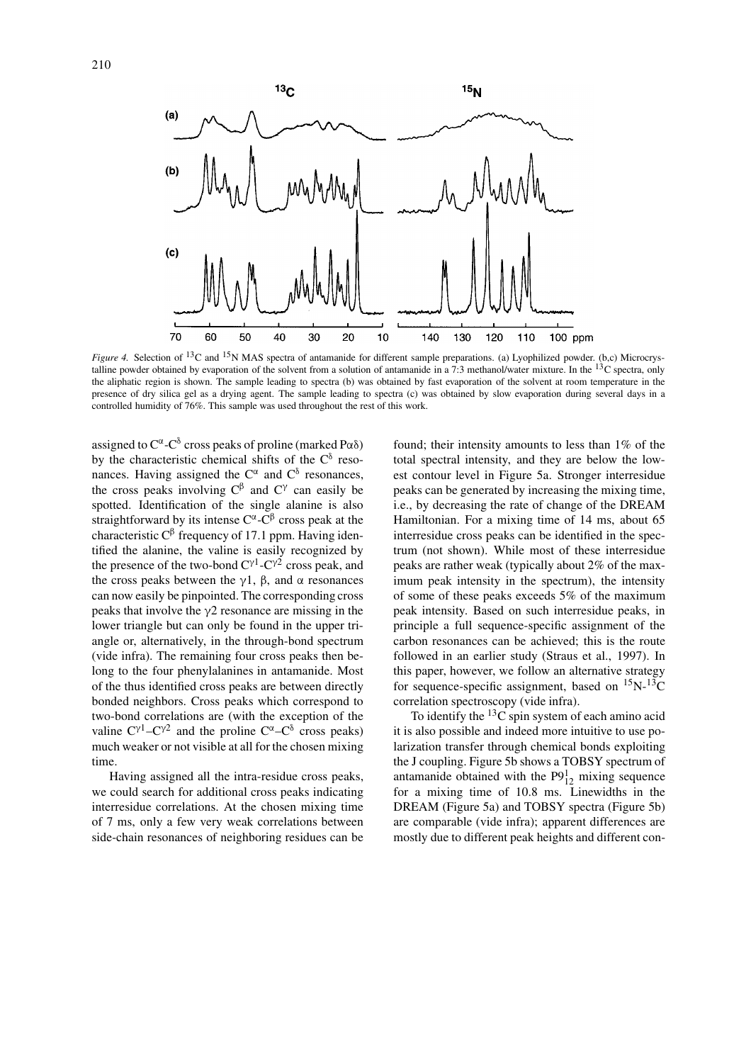

*Figure 4.* Selection of <sup>13</sup>C and <sup>15</sup>N MAS spectra of antamanide for different sample preparations. (a) Lyophilized powder. (b,c) Microcrystalline powder obtained by evaporation of the solvent from a solution of antamanide in a 7:3 methanol/water mixture. In the  $^{13}$ C spectra, only the aliphatic region is shown. The sample leading to spectra (b) was obtained by fast evaporation of the solvent at room temperature in the presence of dry silica gel as a drying agent. The sample leading to spectra (c) was obtained by slow evaporation during several days in a controlled humidity of 76%. This sample was used throughout the rest of this work.

assigned to  $C^{\alpha}$ - $C^{\delta}$  cross peaks of proline (marked P $\alpha\delta$ ) by the characteristic chemical shifts of the  $C^{\delta}$  resonances. Having assigned the  $C^{\alpha}$  and  $C^{\delta}$  resonances, the cross peaks involving  $C^{\beta}$  and  $C^{\gamma}$  can easily be spotted. Identification of the single alanine is also straightforward by its intense  $C^{\alpha}$ - $C^{\beta}$  cross peak at the characteristic  $C^{\beta}$  frequency of 17.1 ppm. Having identified the alanine, the valine is easily recognized by the presence of the two-bond  $C^{\gamma}$ <sup>1</sup>-C<sup> $\gamma$ 2</sup> cross peak, and the cross peaks between the γ1, β, and  $\alpha$  resonances can now easily be pinpointed. The corresponding cross peaks that involve the  $\gamma$ 2 resonance are missing in the lower triangle but can only be found in the upper triangle or, alternatively, in the through-bond spectrum (vide infra). The remaining four cross peaks then belong to the four phenylalanines in antamanide. Most of the thus identified cross peaks are between directly bonded neighbors. Cross peaks which correspond to two-bond correlations are (with the exception of the valine  $C^{\gamma}$ <sup>1</sup>–C<sup> $\gamma$ 2</sup> and the proline C<sup>α</sup>–C<sup>δ</sup> cross peaks) much weaker or not visible at all for the chosen mixing time.

Having assigned all the intra-residue cross peaks, we could search for additional cross peaks indicating interresidue correlations. At the chosen mixing time of 7 ms, only a few very weak correlations between side-chain resonances of neighboring residues can be

found; their intensity amounts to less than 1% of the total spectral intensity, and they are below the lowest contour level in Figure 5a. Stronger interresidue peaks can be generated by increasing the mixing time, i.e., by decreasing the rate of change of the DREAM Hamiltonian. For a mixing time of 14 ms, about 65 interresidue cross peaks can be identified in the spectrum (not shown). While most of these interresidue peaks are rather weak (typically about 2% of the maximum peak intensity in the spectrum), the intensity of some of these peaks exceeds 5% of the maximum peak intensity. Based on such interresidue peaks, in principle a full sequence-specific assignment of the carbon resonances can be achieved; this is the route followed in an earlier study (Straus et al., 1997). In this paper, however, we follow an alternative strategy for sequence-specific assignment, based on  ${}^{15}N-{}^{13}C$ correlation spectroscopy (vide infra).

To identify the  $^{13}$ C spin system of each amino acid it is also possible and indeed more intuitive to use polarization transfer through chemical bonds exploiting the J coupling. Figure 5b shows a TOBSY spectrum of antamanide obtained with the  $P9_{12}^1$  mixing sequence for a mixing time of 10.8 ms. Linewidths in the DREAM (Figure 5a) and TOBSY spectra (Figure 5b) are comparable (vide infra); apparent differences are mostly due to different peak heights and different con-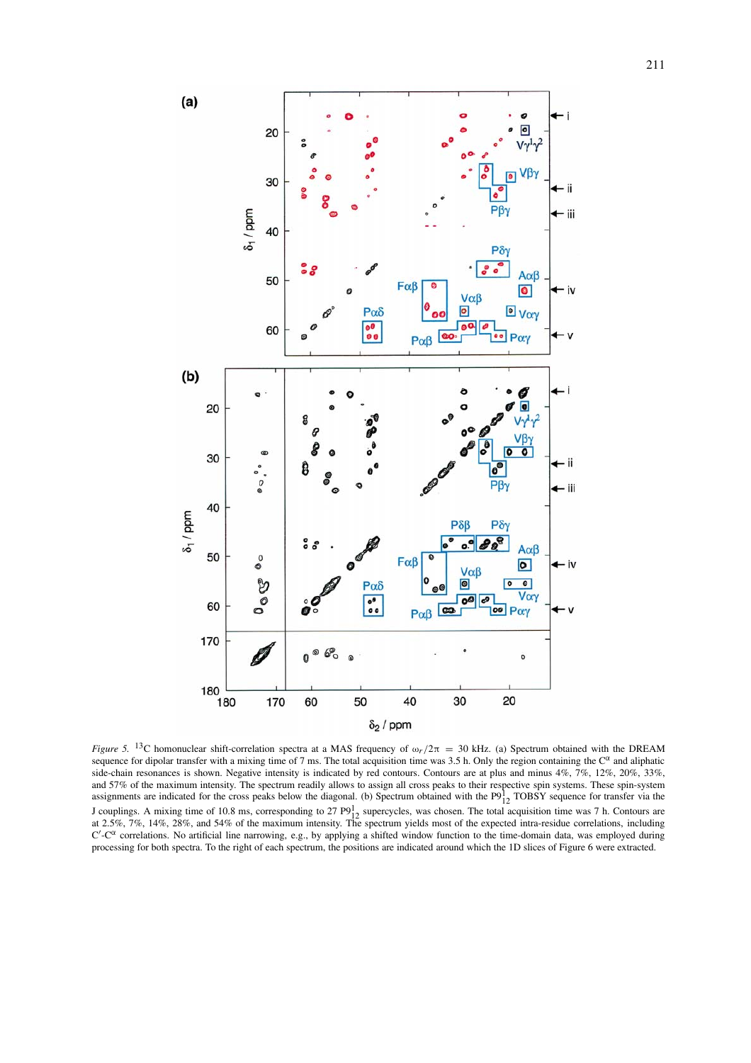

*Figure 5.* 13C homonuclear shift-correlation spectra at a MAS frequency of <sup>ω</sup>*<sup>r</sup> /*2<sup>π</sup> <sup>=</sup> 30 kHz. (a) Spectrum obtained with the DREAM sequence for dipolar transfer with a mixing time of 7 ms. The total acquisition time was 3.5 h. Only the region containing the  $C^{\alpha}$  and aliphatic side-chain resonances is shown. Negative intensity is indicated by red contours. Contours are at plus and minus 4%, 7%, 12%, 20%, 33%, and 57% of the maximum intensity. The spectrum readily allows to assign all cross peaks to their respective spin systems. These spin-system<br>assignments are indicated for the cross peaks below the diagonal. (b) Spectrum ob J couplings. A mixing time of 10.8 ms, corresponding to 27  $P9^1_{12}$  supercycles, was chosen. The total acquisition time was 7 h. Contours are at 2.5%, 7%, 14%, 28%, and 54% of the maximum intensity. The spectrum yields  $C'$ - $C^{\alpha}$  correlations. No artificial line narrowing, e.g., by applying a shifted window function to the time-domain data, was employed during processing for both spectra. To the right of each spectrum, the positions are indicated around which the 1D slices of Figure 6 were extracted.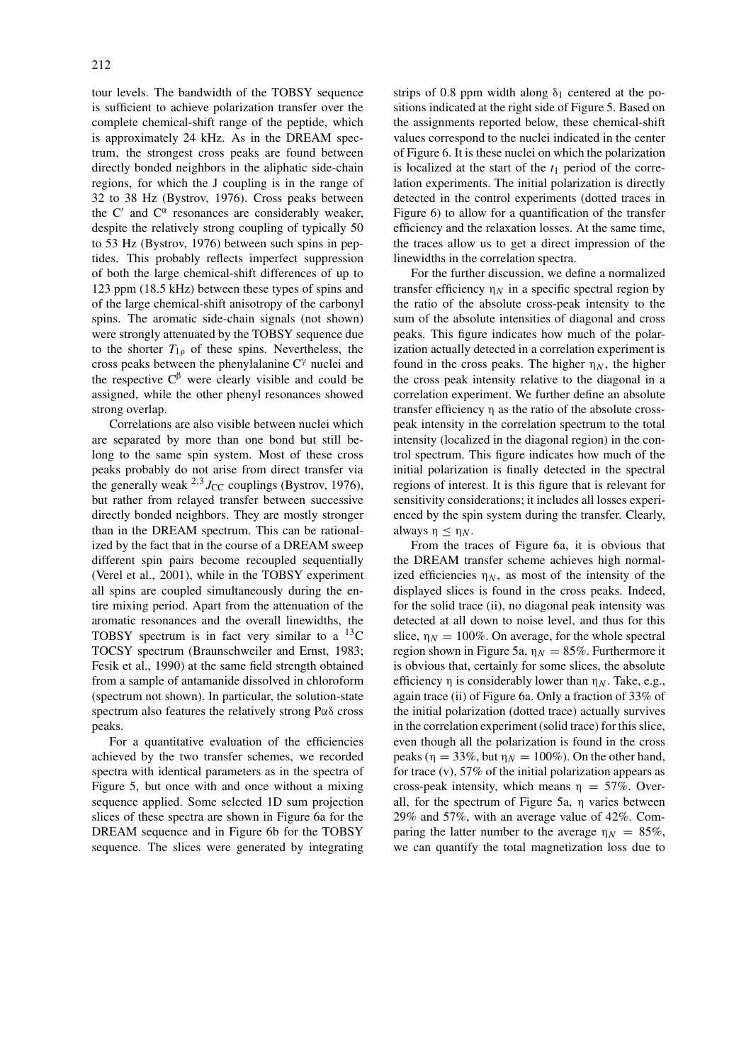tour levels. The bandwidth of the TOBSY sequence is sufficient to achieve polarization transfer over the complete chemical-shift range of the peptide, which is approximately 24 kHz. As in the DREAM spectrum, the strongest cross peaks are found between directly bonded neighbors in the aliphatic side-chain regions, for which the J coupling is in the range of 32 to 38 Hz (Bystrov, 1976). Cross peaks between the C' and  $C^{\alpha}$  resonances are considerably weaker, despite the relatively strong coupling of typically 50 to 53 Hz (Bystrov, 1976) between such spins in peptides. This probably reflects imperfect suppression of both the large chemical-shift differences of up to 123 ppm (18.5 kHz) between these types of spins and of the large chemical-shift anisotropy of the carbonyl spins. The aromatic side-chain signals (not shown) were strongly attenuated by the TOBSY sequence due to the shorter  $T_{10}$  of these spins. Nevertheless, the cross peaks between the phenylalanine C<sup>γ</sup> nuclei and the respective  $C<sup>β</sup>$  were clearly visible and could be assigned, while the other phenyl resonances showed strong overlap.

Correlations are also visible between nuclei which are separated by more than one bond but still belong to the same spin system. Most of these cross peaks probably do not arise from direct transfer via the generally weak  $^{2,3}J_{\text{CC}}$  couplings (Bystrov, 1976), but rather from relayed transfer between successive directly bonded neighbors. They are mostly stronger than in the DREAM spectrum. This can be rationalized by the fact that in the course of a DREAM sweep different spin pairs become recoupled sequentially (Verel et al., 2001), while in the TOBSY experiment all spins are coupled simultaneously during the entire mixing period. Apart from the attenuation of the aromatic resonances and the overall linewidths, the TOBSY spectrum is in fact very similar to a  $^{13}$ C TOCSY spectrum (Braunschweiler and Ernst, 1983; Fesik et al., 1990) at the same field strength obtained from a sample of antamanide dissolved in chloroform (spectrum not shown). In particular, the solution-state spectrum also features the relatively strong Pαδ cross peaks.

For a quantitative evaluation of the efficiencies achieved by the two transfer schemes, we recorded spectra with identical parameters as in the spectra of Figure 5, but once with and once without a mixing sequence applied. Some selected 1D sum projection slices of these spectra are shown in Figure 6a for the DREAM sequence and in Figure 6b for the TOBSY sequence. The slices were generated by integrating strips of 0.8 ppm width along  $\delta_1$  centered at the positions indicated at the right side of Figure 5. Based on the assignments reported below, these chemical-shift values correspond to the nuclei indicated in the center of Figure 6. It is these nuclei on which the polarization is localized at the start of the  $t_1$  period of the correlation experiments. The initial polarization is directly detected in the control experiments (dotted traces in Figure 6) to allow for a quantification of the transfer efficiency and the relaxation losses. At the same time, the traces allow us to get a direct impression of the linewidths in the correlation spectra.

For the further discussion, we define a normalized transfer efficiency  $\eta_N$  in a specific spectral region by the ratio of the absolute cross-peak intensity to the sum of the absolute intensities of diagonal and cross peaks. This figure indicates how much of the polarization actually detected in a correlation experiment is found in the cross peaks. The higher  $\eta_N$ , the higher the cross peak intensity relative to the diagonal in a correlation experiment. We further define an absolute transfer efficiency η as the ratio of the absolute crosspeak intensity in the correlation spectrum to the total intensity (localized in the diagonal region) in the control spectrum. This figure indicates how much of the initial polarization is finally detected in the spectral regions of interest. It is this figure that is relevant for sensitivity considerations; it includes all losses experienced by the spin system during the transfer. Clearly, always η ≤ η*<sup>N</sup>* .

From the traces of Figure 6a, it is obvious that the DREAM transfer scheme achieves high normalized efficiencies  $\eta_N$ , as most of the intensity of the displayed slices is found in the cross peaks. Indeed, for the solid trace (ii), no diagonal peak intensity was detected at all down to noise level, and thus for this slice,  $\eta_N = 100\%$ . On average, for the whole spectral region shown in Figure 5a,  $\eta_N = 85\%$ . Furthermore it is obvious that, certainly for some slices, the absolute efficiency  $\eta$  is considerably lower than  $\eta_N$ . Take, e.g., again trace (ii) of Figure 6a. Only a fraction of 33% of the initial polarization (dotted trace) actually survives in the correlation experiment (solid trace) for this slice, even though all the polarization is found in the cross peaks ( $\eta = 33\%$ , but  $\eta_N = 100\%$ ). On the other hand, for trace (v), 57% of the initial polarization appears as cross-peak intensity, which means  $\eta = 57\%$ . Overall, for the spectrum of Figure 5a, η varies between 29% and 57%, with an average value of 42%. Comparing the latter number to the average  $\eta_N = 85\%$ , we can quantify the total magnetization loss due to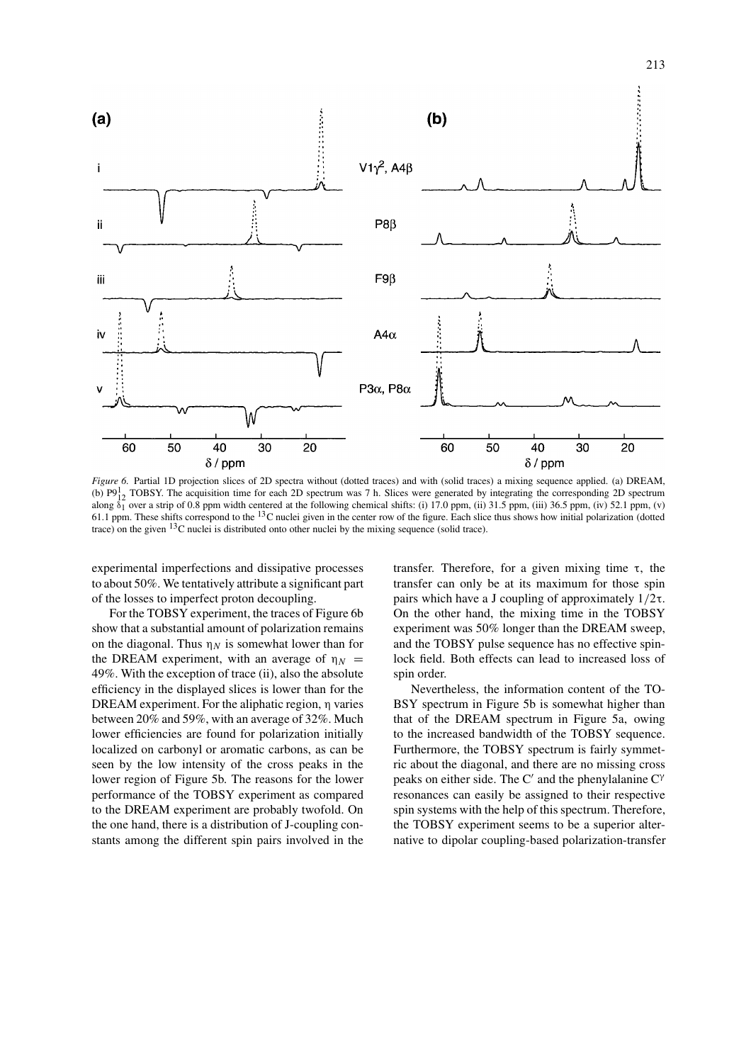

*Figure 6.* Partial 1D projection slices of 2D spectra without (dotted traces) and with (solid traces) a mixing sequence applied. (a) DREAM, (b)  $P9<sub>12</sub><sup>1</sup> TOBSY. The acquisition time for each 2D spectrum was 7 h. Slices were generated by integrating the corresponding 2D spectrum$ along  $\delta_1$  over a strip of 0.8 ppm width centered at the following chemical shifts: (i) 17.0 ppm, (ii) 31.5 ppm, (iii) 36.5 ppm, (iv) 52.1 ppm, (v) 61.1 ppm. These shifts correspond to the  $^{13}$ C nuclei given in the center row of the figure. Each slice thus shows how initial polarization (dotted trace) on the given 13C nuclei is distributed onto other nuclei by the mixing sequence (solid trace).

experimental imperfections and dissipative processes to about 50%. We tentatively attribute a significant part of the losses to imperfect proton decoupling.

For the TOBSY experiment, the traces of Figure 6b show that a substantial amount of polarization remains on the diagonal. Thus  $\eta_N$  is somewhat lower than for the DREAM experiment, with an average of  $\eta_N$  = 49%. With the exception of trace (ii), also the absolute efficiency in the displayed slices is lower than for the DREAM experiment. For the aliphatic region, η varies between 20% and 59%, with an average of 32%. Much lower efficiencies are found for polarization initially localized on carbonyl or aromatic carbons, as can be seen by the low intensity of the cross peaks in the lower region of Figure 5b. The reasons for the lower performance of the TOBSY experiment as compared to the DREAM experiment are probably twofold. On the one hand, there is a distribution of J-coupling constants among the different spin pairs involved in the transfer. Therefore, for a given mixing time τ, the transfer can only be at its maximum for those spin pairs which have a J coupling of approximately 1*/*2τ. On the other hand, the mixing time in the TOBSY experiment was 50% longer than the DREAM sweep, and the TOBSY pulse sequence has no effective spinlock field. Both effects can lead to increased loss of spin order.

Nevertheless, the information content of the TO-BSY spectrum in Figure 5b is somewhat higher than that of the DREAM spectrum in Figure 5a, owing to the increased bandwidth of the TOBSY sequence. Furthermore, the TOBSY spectrum is fairly symmetric about the diagonal, and there are no missing cross peaks on either side. The C' and the phenylalanine  $C^{\gamma}$ resonances can easily be assigned to their respective spin systems with the help of this spectrum. Therefore, the TOBSY experiment seems to be a superior alternative to dipolar coupling-based polarization-transfer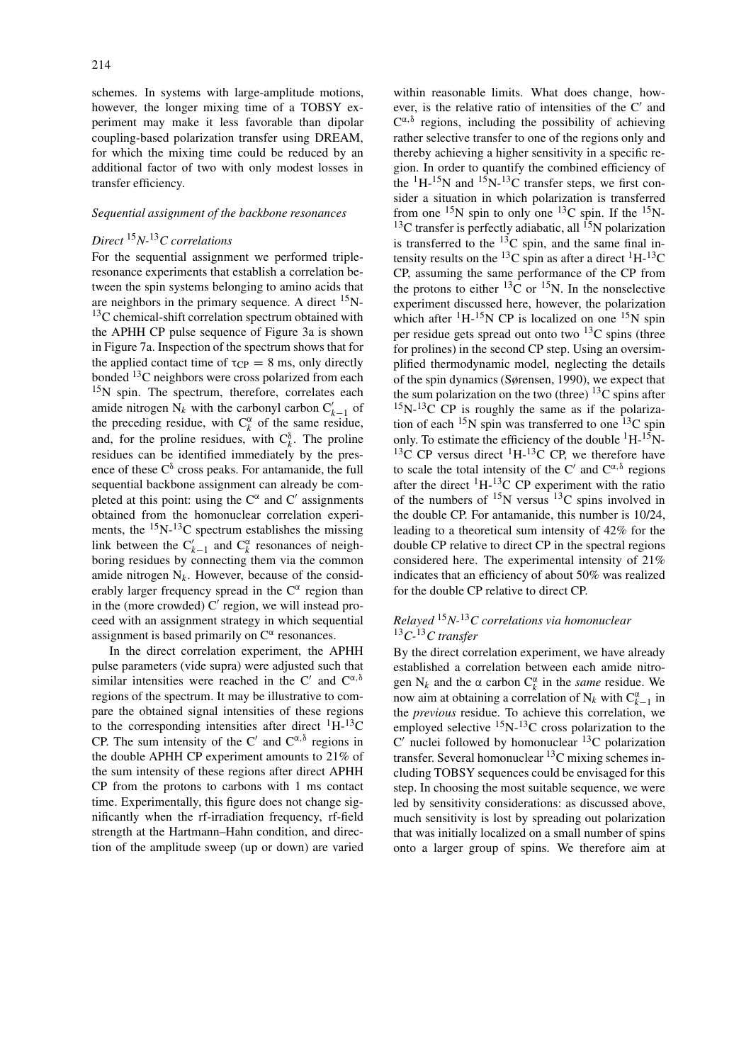schemes. In systems with large-amplitude motions, however, the longer mixing time of a TOBSY experiment may make it less favorable than dipolar coupling-based polarization transfer using DREAM, for which the mixing time could be reduced by an additional factor of two with only modest losses in transfer efficiency.

# *Sequential assignment of the backbone resonances*

# *Direct* <sup>15</sup>*N-*13*C correlations*

For the sequential assignment we performed tripleresonance experiments that establish a correlation between the spin systems belonging to amino acids that are neighbors in the primary sequence. A direct  $^{15}$ N-<sup>13</sup>C chemical-shift correlation spectrum obtained with the APHH CP pulse sequence of Figure 3a is shown in Figure 7a. Inspection of the spectrum shows that for the applied contact time of  $\tau_{CP} = 8$  ms, only directly bonded 13C neighbors were cross polarized from each  $15N$  spin. The spectrum, therefore, correlates each amide nitrogen  $N_k$  with the carbonyl carbon  $C'_{k-1}$  of the preceding residue, with  $C_k^{\alpha}$  of the same residue, and, for the proline residues, with  $C_k^{\delta}$ . The proline residues can be identified immediately by the presence of these  $C^{\delta}$  cross peaks. For antamanide, the full sequential backbone assignment can already be completed at this point: using the  $C^{\alpha}$  and  $C'$  assignments obtained from the homonuclear correlation experiments, the  $^{15}N^{-13}C$  spectrum establishes the missing link between the  $C'_{k-1}$  and  $C^{\alpha}_{k}$  resonances of neighboring residues by connecting them via the common amide nitrogen  $N_k$ . However, because of the considerably larger frequency spread in the  $C^{\alpha}$  region than in the (more crowded)  $C'$  region, we will instead proceed with an assignment strategy in which sequential assignment is based primarily on  $C^{\alpha}$  resonances.

In the direct correlation experiment, the APHH pulse parameters (vide supra) were adjusted such that similar intensities were reached in the C' and  $C^{\alpha,\delta}$ regions of the spectrum. It may be illustrative to compare the obtained signal intensities of these regions to the corresponding intensities after direct  ${}^{1}H-{}^{13}C$ CP. The sum intensity of the C' and  $C^{\alpha,\delta}$  regions in the double APHH CP experiment amounts to 21% of the sum intensity of these regions after direct APHH CP from the protons to carbons with 1 ms contact time. Experimentally, this figure does not change significantly when the rf-irradiation frequency, rf-field strength at the Hartmann–Hahn condition, and direction of the amplitude sweep (up or down) are varied within reasonable limits. What does change, however, is the relative ratio of intensities of the  $C'$  and  $C^{\alpha,\delta}$  regions, including the possibility of achieving rather selective transfer to one of the regions only and thereby achieving a higher sensitivity in a specific region. In order to quantify the combined efficiency of the  ${}^{1}$ H- ${}^{15}$ N and  ${}^{15}$ N- ${}^{13}$ C transfer steps, we first consider a situation in which polarization is transferred from one  $^{15}N$  spin to only one  $^{13}C$  spin. If the  $^{15}N$ - $^{13}$ C transfer is perfectly adiabatic, all  $^{15}$ N polarization is transferred to the  $^{13}$ C spin, and the same final intensity results on the <sup>13</sup>C spin as after a direct <sup>1</sup>H-<sup>13</sup>C CP, assuming the same performance of the CP from the protons to either  ${}^{13}$ C or  ${}^{15}$ N. In the nonselective experiment discussed here, however, the polarization which after  ${}^{1}H-{}^{15}N$  CP is localized on one  ${}^{15}N$  spin per residue gets spread out onto two  $^{13}$ C spins (three for prolines) in the second CP step. Using an oversimplified thermodynamic model, neglecting the details of the spin dynamics (Sørensen, 1990), we expect that the sum polarization on the two (three)  $^{13}$ C spins after  $15N-13C$  CP is roughly the same as if the polarization of each  $15N$  spin was transferred to one  $13C$  spin only. To estimate the efficiency of the double  ${}^{1}H-{}^{15}N-{}^{15}$  $13C$  CP versus direct  $1H-13C$  CP, we therefore have to scale the total intensity of the C' and  $C^{\alpha,\delta}$  regions after the direct  ${}^{1}H_{-}{}^{13}C$  CP experiment with the ratio of the numbers of  $^{15}N$  versus  $^{13}C$  spins involved in the double CP. For antamanide, this number is 10/24, leading to a theoretical sum intensity of 42% for the double CP relative to direct CP in the spectral regions considered here. The experimental intensity of 21% indicates that an efficiency of about 50% was realized for the double CP relative to direct CP.

# *Relayed* <sup>15</sup>*N-*13*C correlations via homonuclear* <sup>13</sup>*C-*13*C transfer*

By the direct correlation experiment, we have already established a correlation between each amide nitrogen  $N_k$  and the  $\alpha$  carbon  $C_k^{\alpha}$  in the *same* residue. We now aim at obtaining a correlation of  $N_k$  with  $C_{k-1}^{\alpha}$  in the *previous* residue. To achieve this correlation, we employed selective  ${}^{15}N-{}^{13}C$  cross polarization to the  $C'$  nuclei followed by homonuclear  ${}^{13}C$  polarization transfer. Several homonuclear 13C mixing schemes including TOBSY sequences could be envisaged for this step. In choosing the most suitable sequence, we were led by sensitivity considerations: as discussed above, much sensitivity is lost by spreading out polarization that was initially localized on a small number of spins onto a larger group of spins. We therefore aim at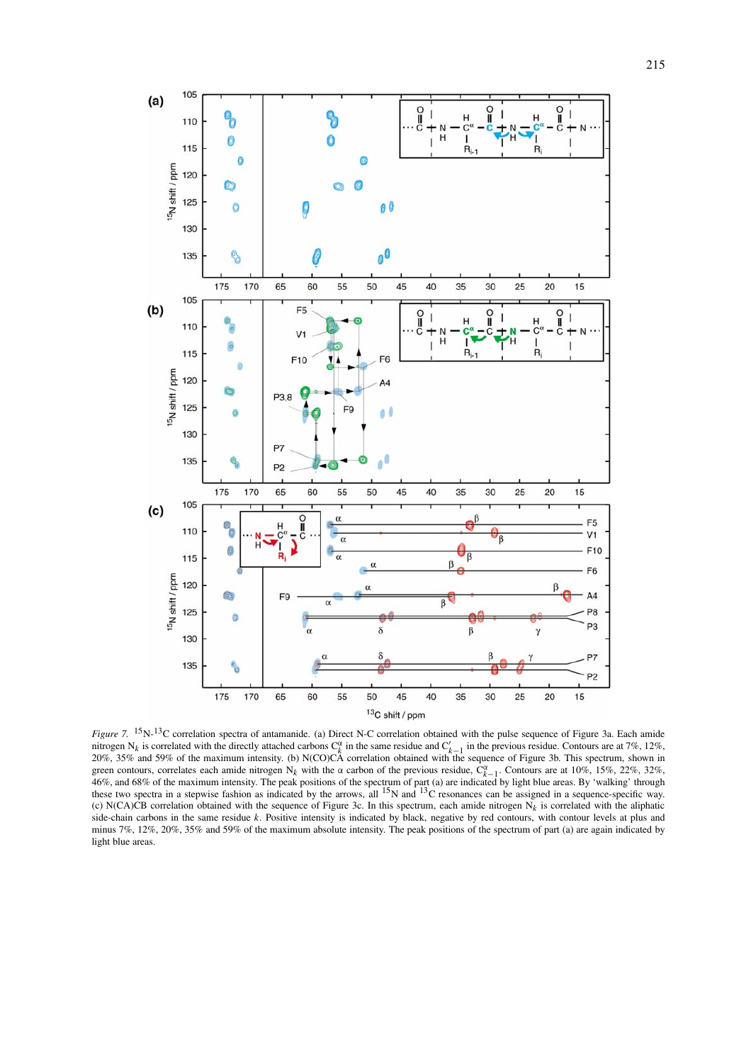

*Figure 7.* 15N-13C correlation spectra of antamanide. (a) Direct N-C correlation obtained with the pulse sequence of Figure 3a. Each amide nitrogen N*<sup>k</sup>* is correlated with the directly attached carbons C<sup>α</sup> *<sup>k</sup>* in the same residue and C *<sup>k</sup>*−<sup>1</sup> in the previous residue. Contours are at 7%, 12%, 20%, 35% and 59% of the maximum intensity. (b) N(CO)CA correlation obtained with the sequence of Figure 3b. This spectrum, shown in green contours, correlates each amide nitrogen N<sub>k</sub> with the α carbon of the previous residue,  $\hat{C}_{k-1}^{\alpha}$ . Contours are at 10%, 15%, 22%, 32%, 32%, 32% 46%, and 68% of the maximum intensity. The peak positions of the spectrum of part (a) are indicated by light blue areas. By 'walking' through these two spectra in a stepwise fashion as indicated by the arrows, all <sup>15</sup>N an (c) N(CA)CB correlation obtained with the sequence of Figure 3c. In this spectrum, each amide nitrogen  $N_k$  is correlated with the aliphatic side-chain carbons in the same residue *k*. Positive intensity is indicated by black, negative by red contours, with contour levels at plus and minus 7%, 12%, 20%, 35% and 59% of the maximum absolute intensity. The peak positions of the spectrum of part (a) are again indicated by light blue areas.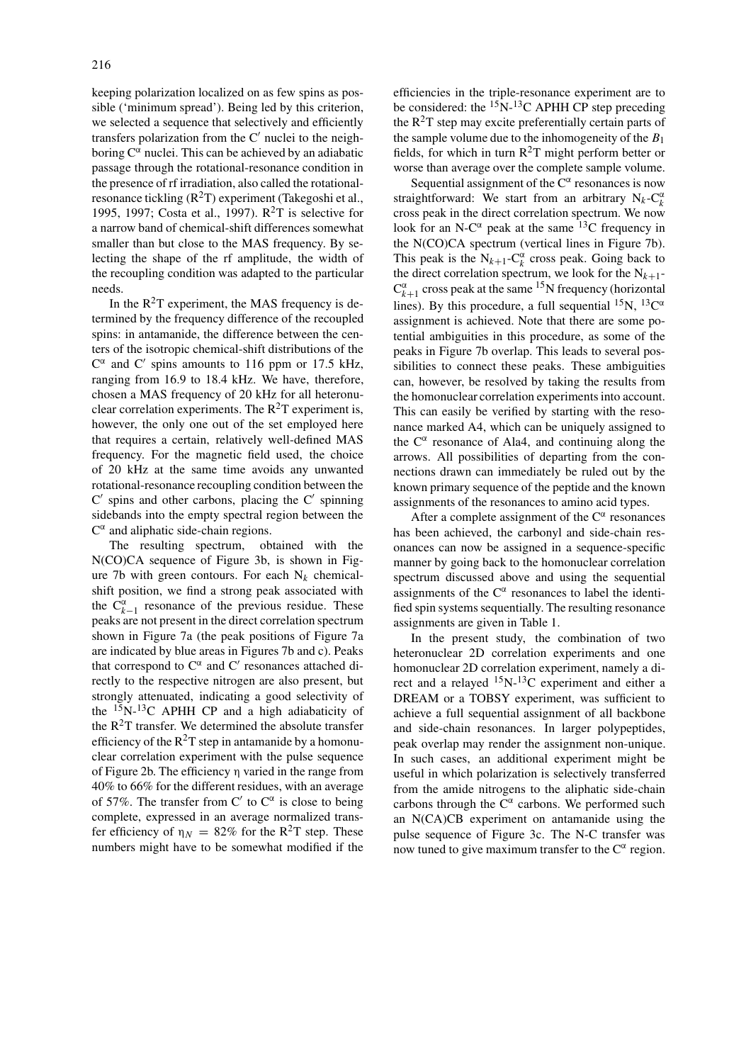keeping polarization localized on as few spins as possible ('minimum spread'). Being led by this criterion, we selected a sequence that selectively and efficiently transfers polarization from the  $C'$  nuclei to the neighboring  $C^{\alpha}$  nuclei. This can be achieved by an adiabatic passage through the rotational-resonance condition in the presence of rf irradiation, also called the rotationalresonance tickling  $(R<sup>2</sup>T)$  experiment (Takegoshi et al., 1995, 1997; Costa et al., 1997).  $R^2T$  is selective for a narrow band of chemical-shift differences somewhat smaller than but close to the MAS frequency. By selecting the shape of the rf amplitude, the width of the recoupling condition was adapted to the particular needs.

In the  $R^2T$  experiment, the MAS frequency is determined by the frequency difference of the recoupled spins: in antamanide, the difference between the centers of the isotropic chemical-shift distributions of the  $C^{\alpha}$  and C' spins amounts to 116 ppm or 17.5 kHz, ranging from 16.9 to 18.4 kHz. We have, therefore, chosen a MAS frequency of 20 kHz for all heteronuclear correlation experiments. The  $R^2T$  experiment is, however, the only one out of the set employed here that requires a certain, relatively well-defined MAS frequency. For the magnetic field used, the choice of 20 kHz at the same time avoids any unwanted rotational-resonance recoupling condition between the  $C'$  spins and other carbons, placing the  $C'$  spinning sidebands into the empty spectral region between the  $C^{\alpha}$  and aliphatic side-chain regions.

The resulting spectrum, obtained with the N(CO)CA sequence of Figure 3b, is shown in Figure 7b with green contours. For each  $N_k$  chemicalshift position, we find a strong peak associated with the  $C_{k-1}^{\alpha}$  resonance of the previous residue. These peaks are not present in the direct correlation spectrum shown in Figure 7a (the peak positions of Figure 7a are indicated by blue areas in Figures 7b and c). Peaks that correspond to  $C^{\alpha}$  and  $C'$  resonances attached directly to the respective nitrogen are also present, but strongly attenuated, indicating a good selectivity of the  $15N-13C$  APHH CP and a high adiabaticity of the  $R^2T$  transfer. We determined the absolute transfer efficiency of the  $R^2T$  step in antamanide by a homonuclear correlation experiment with the pulse sequence of Figure 2b. The efficiency η varied in the range from 40% to 66% for the different residues, with an average of 57%. The transfer from C' to  $C^{\alpha}$  is close to being complete, expressed in an average normalized transfer efficiency of  $\eta_N = 82\%$  for the R<sup>2</sup>T step. These numbers might have to be somewhat modified if the

efficiencies in the triple-resonance experiment are to be considered: the  $15N-13C$  APHH CP step preceding the  $R^2T$  step may excite preferentially certain parts of the sample volume due to the inhomogeneity of the *B*<sup>1</sup> fields, for which in turn  $R^2T$  might perform better or worse than average over the complete sample volume.

Sequential assignment of the  $C^{\alpha}$  resonances is now straightforward: We start from an arbitrary  $N_k - C_k^{\alpha}$ cross peak in the direct correlation spectrum. We now look for an N-C $^{\alpha}$  peak at the same <sup>13</sup>C frequency in the N(CO)CA spectrum (vertical lines in Figure 7b). This peak is the  $N_{k+1}$ - $C_k^{\alpha}$  cross peak. Going back to the direct correlation spectrum, we look for the  $N_{k+1}$ - $C_{k+1}^{\alpha}$  cross peak at the same <sup>15</sup>N frequency (horizontal lines). By this procedure, a full sequential  ${}^{15}N$ ,  ${}^{13}C^{\alpha}$ assignment is achieved. Note that there are some potential ambiguities in this procedure, as some of the peaks in Figure 7b overlap. This leads to several possibilities to connect these peaks. These ambiguities can, however, be resolved by taking the results from the homonuclear correlation experiments into account. This can easily be verified by starting with the resonance marked A4, which can be uniquely assigned to the  $C^{\alpha}$  resonance of Ala4, and continuing along the arrows. All possibilities of departing from the connections drawn can immediately be ruled out by the known primary sequence of the peptide and the known assignments of the resonances to amino acid types.

After a complete assignment of the  $C^{\alpha}$  resonances has been achieved, the carbonyl and side-chain resonances can now be assigned in a sequence-specific manner by going back to the homonuclear correlation spectrum discussed above and using the sequential assignments of the  $C^{\alpha}$  resonances to label the identified spin systems sequentially. The resulting resonance assignments are given in Table 1.

In the present study, the combination of two heteronuclear 2D correlation experiments and one homonuclear 2D correlation experiment, namely a direct and a relayed 15N-13C experiment and either a DREAM or a TOBSY experiment, was sufficient to achieve a full sequential assignment of all backbone and side-chain resonances. In larger polypeptides, peak overlap may render the assignment non-unique. In such cases, an additional experiment might be useful in which polarization is selectively transferred from the amide nitrogens to the aliphatic side-chain carbons through the  $C^{\alpha}$  carbons. We performed such an N(CA)CB experiment on antamanide using the pulse sequence of Figure 3c. The N-C transfer was now tuned to give maximum transfer to the  $C^{\alpha}$  region.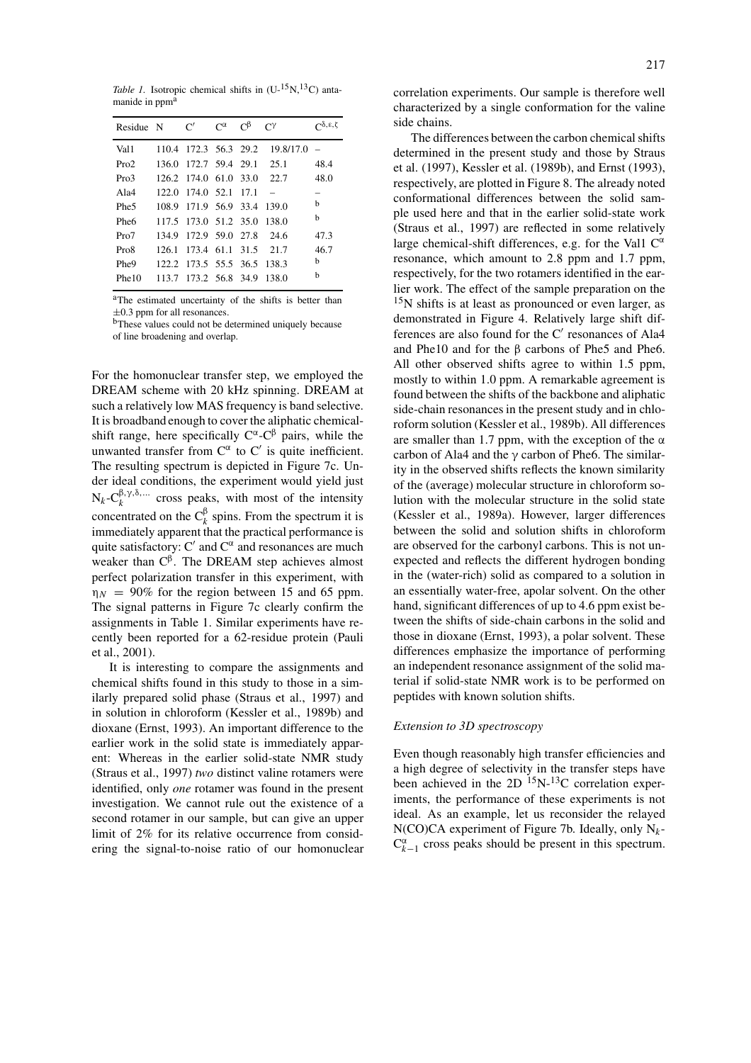*Table 1.* Isotropic chemical shifts in  $(U^{-15}N^{13}C)$  antamanide in ppm<sup>a</sup>

| Residue N        | C'                          | $C^{\alpha}$ | $\Gamma^{\beta}$ | $\Gamma^{\gamma}$               | $\bigcap_{\delta,\epsilon,\zeta}$ |
|------------------|-----------------------------|--------------|------------------|---------------------------------|-----------------------------------|
| Val <sub>1</sub> |                             |              |                  | 110.4 172.3 56.3 29.2 19.8/17.0 | $\overline{\phantom{0}}$          |
| Pro2             |                             |              |                  | 136.0 172.7 59.4 29.1 25.1      | 48.4                              |
| Pro3             |                             |              |                  | 126.2 174.0 61.0 33.0 22.7      | 48.0                              |
| Ala $4$          | 122.0 174.0 52.1 17.1       |              |                  |                                 |                                   |
| Phe <sub>5</sub> | 108.9 171.9 56.9 33.4 139.0 |              |                  |                                 | b.                                |
| Phe <sub>6</sub> | 117.5 173.0 51.2 35.0 138.0 |              |                  |                                 | b.                                |
| Pro7             | 134.9 172.9 59.0 27.8 24.6  |              |                  |                                 | 47.3                              |
| Pro <sub>8</sub> | 126.1 173.4 61.1 31.5 21.7  |              |                  |                                 | 46.7                              |
| Phe9             | 122.2 173.5 55.5 36.5 138.3 |              |                  |                                 | b                                 |
| Phe10            | 113.7 173.2 56.8 34.9 138.0 |              |                  |                                 | h                                 |

aThe estimated uncertainty of the shifts is better than  $\pm 0.3$  ppm for all resonances.

<sup>b</sup>These values could not be determined uniquely because of line broadening and overlap.

For the homonuclear transfer step, we employed the DREAM scheme with 20 kHz spinning. DREAM at such a relatively low MAS frequency is band selective. It is broadband enough to cover the aliphatic chemicalshift range, here specifically  $C^{\alpha}$ - $C^{\beta}$  pairs, while the unwanted transfer from  $C^{\alpha}$  to  $C'$  is quite inefficient. The resulting spectrum is depicted in Figure 7c. Under ideal conditions, the experiment would yield just  $N_k - C_k^{\beta, \gamma, \delta, \dots}$  cross peaks, with most of the intensity concentrated on the  $C_k^{\beta}$  spins. From the spectrum it is immediately apparent that the practical performance is quite satisfactory: C' and  $C^{\alpha}$  and resonances are much weaker than  $C^{\beta}$ . The DREAM step achieves almost perfect polarization transfer in this experiment, with  $\eta_N = 90\%$  for the region between 15 and 65 ppm. The signal patterns in Figure 7c clearly confirm the assignments in Table 1. Similar experiments have recently been reported for a 62-residue protein (Pauli et al., 2001).

It is interesting to compare the assignments and chemical shifts found in this study to those in a similarly prepared solid phase (Straus et al., 1997) and in solution in chloroform (Kessler et al., 1989b) and dioxane (Ernst, 1993). An important difference to the earlier work in the solid state is immediately apparent: Whereas in the earlier solid-state NMR study (Straus et al., 1997) *two* distinct valine rotamers were identified, only *one* rotamer was found in the present investigation. We cannot rule out the existence of a second rotamer in our sample, but can give an upper limit of 2% for its relative occurrence from considering the signal-to-noise ratio of our homonuclear correlation experiments. Our sample is therefore well characterized by a single conformation for the valine side chains.

The differences between the carbon chemical shifts determined in the present study and those by Straus et al. (1997), Kessler et al. (1989b), and Ernst (1993), respectively, are plotted in Figure 8. The already noted conformational differences between the solid sample used here and that in the earlier solid-state work (Straus et al., 1997) are reflected in some relatively large chemical-shift differences, e.g. for the Val1  $C^{\alpha}$ resonance, which amount to 2.8 ppm and 1.7 ppm, respectively, for the two rotamers identified in the earlier work. The effect of the sample preparation on the 15N shifts is at least as pronounced or even larger, as demonstrated in Figure 4. Relatively large shift differences are also found for the  $C'$  resonances of Ala4 and Phe10 and for the β carbons of Phe5 and Phe6. All other observed shifts agree to within 1.5 ppm, mostly to within 1.0 ppm. A remarkable agreement is found between the shifts of the backbone and aliphatic side-chain resonances in the present study and in chloroform solution (Kessler et al., 1989b). All differences are smaller than 1.7 ppm, with the exception of the  $\alpha$ carbon of Ala4 and the  $\gamma$  carbon of Phe6. The similarity in the observed shifts reflects the known similarity of the (average) molecular structure in chloroform solution with the molecular structure in the solid state (Kessler et al., 1989a). However, larger differences between the solid and solution shifts in chloroform are observed for the carbonyl carbons. This is not unexpected and reflects the different hydrogen bonding in the (water-rich) solid as compared to a solution in an essentially water-free, apolar solvent. On the other hand, significant differences of up to 4.6 ppm exist between the shifts of side-chain carbons in the solid and those in dioxane (Ernst, 1993), a polar solvent. These differences emphasize the importance of performing an independent resonance assignment of the solid material if solid-state NMR work is to be performed on peptides with known solution shifts.

## *Extension to 3D spectroscopy*

Even though reasonably high transfer efficiencies and a high degree of selectivity in the transfer steps have been achieved in the 2D  $^{15}N^{-13}C$  correlation experiments, the performance of these experiments is not ideal. As an example, let us reconsider the relayed N(CO)CA experiment of Figure 7b. Ideally, only N*k*- $C_{k-1}^{\alpha}$  cross peaks should be present in this spectrum.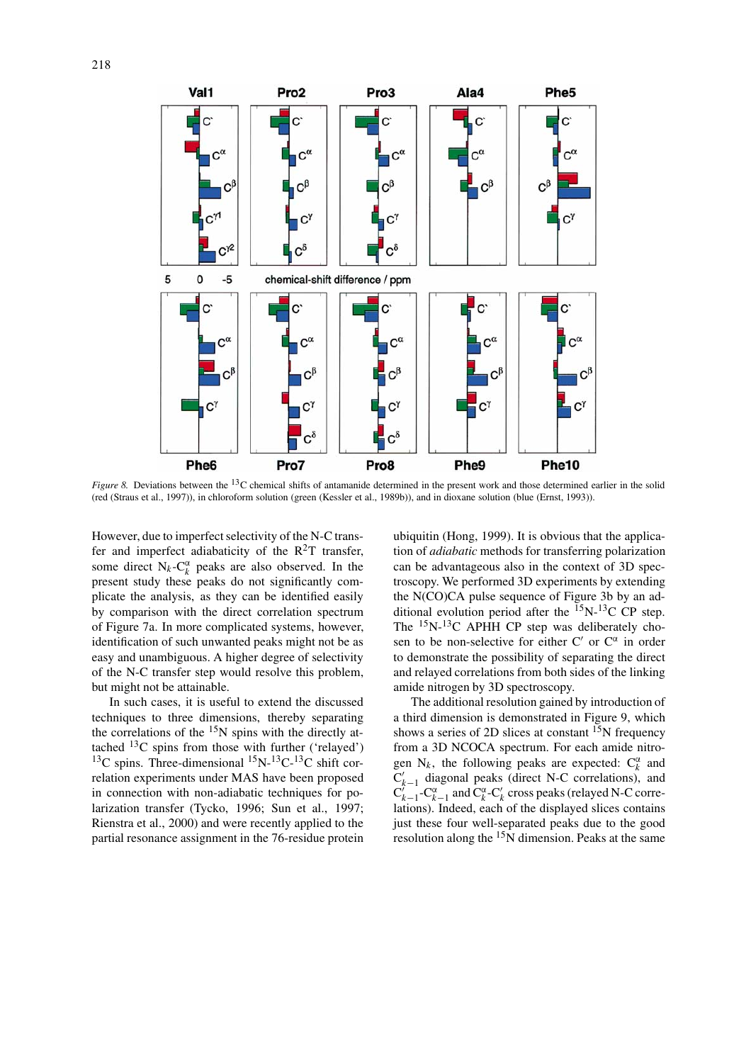

*Figure 8.* Deviations between the <sup>13</sup>C chemical shifts of antamanide determined in the present work and those determined earlier in the solid (red (Straus et al., 1997)), in chloroform solution (green (Kessler et al., 1989b)), and in dioxane solution (blue (Ernst, 1993)).

However, due to imperfect selectivity of the N-C transfer and imperfect adiabaticity of the  $R^2T$  transfer, some direct  $N_k - C_k^{\alpha}$  peaks are also observed. In the present study these peaks do not significantly complicate the analysis, as they can be identified easily by comparison with the direct correlation spectrum of Figure 7a. In more complicated systems, however, identification of such unwanted peaks might not be as easy and unambiguous. A higher degree of selectivity of the N-C transfer step would resolve this problem, but might not be attainable.

In such cases, it is useful to extend the discussed techniques to three dimensions, thereby separating the correlations of the  $15N$  spins with the directly attached 13C spins from those with further ('relayed') <sup>13</sup>C spins. Three-dimensional <sup>15</sup>N-<sup>13</sup>C-<sup>13</sup>C shift correlation experiments under MAS have been proposed in connection with non-adiabatic techniques for polarization transfer (Tycko, 1996; Sun et al., 1997; Rienstra et al., 2000) and were recently applied to the partial resonance assignment in the 76-residue protein ubiquitin (Hong, 1999). It is obvious that the application of *adiabatic* methods for transferring polarization can be advantageous also in the context of 3D spectroscopy. We performed 3D experiments by extending the N(CO)CA pulse sequence of Figure 3b by an additional evolution period after the  $^{15}N^{-13}C$  CP step. The <sup>15</sup>N-<sup>13</sup>C APHH CP step was deliberately chosen to be non-selective for either C' or  $C^{\alpha}$  in order to demonstrate the possibility of separating the direct and relayed correlations from both sides of the linking amide nitrogen by 3D spectroscopy.

The additional resolution gained by introduction of a third dimension is demonstrated in Figure 9, which shows a series of 2D slices at constant  $^{15}N$  frequency from a 3D NCOCA spectrum. For each amide nitrogen  $N_k$ , the following peaks are expected:  $C_k^{\alpha}$  and  $C'_{k-1}$  diagonal peaks (direct N-C correlations), and<br> $C'_{k-1}$ -Cα<sup>α</sup><sub>*k*-1</sub> and Cα<sup>α</sup><sup>-</sup>C<sub>κ</sub><sup>*k*</sup> cross peaks (relayed N-C correlations). Indeed, each of the displayed slices contains just these four well-separated peaks due to the good resolution along the  $15<sup>N</sup>$  dimension. Peaks at the same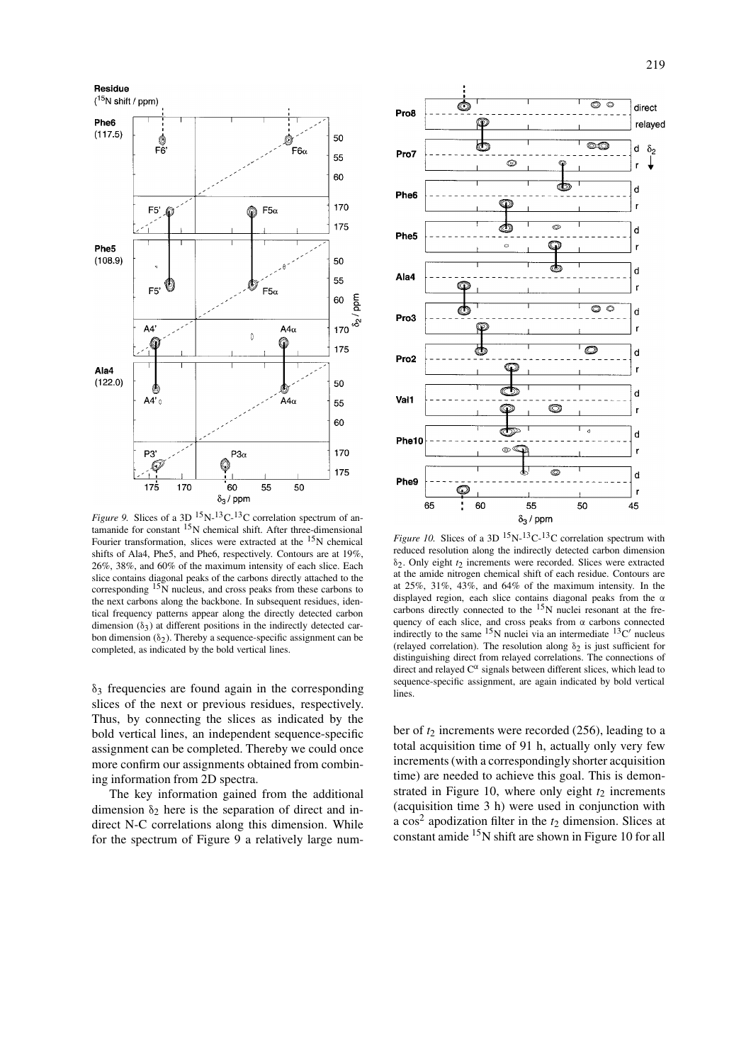

*Figure 9.* Slices of a 3D  $^{15}N^{-13}C^{-13}C$  correlation spectrum of antamanide for constant <sup>15</sup>N chemical shift. After three-dimensional Fourier transformation, slices were extracted at the  $15N$  chemical shifts of Ala4, Phe5, and Phe6, respectively. Contours are at 19%, 26%, 38%, and 60% of the maximum intensity of each slice. Each slice contains diagonal peaks of the carbons directly attached to the corresponding  $15\bar{N}$  nucleus, and cross peaks from these carbons to the next carbons along the backbone. In subsequent residues, identical frequency patterns appear along the directly detected carbon dimension  $(\delta_3)$  at different positions in the indirectly detected carbon dimension  $(\delta_2)$ . Thereby a sequence-specific assignment can be completed, as indicated by the bold vertical lines.

 $\delta_3$  frequencies are found again in the corresponding slices of the next or previous residues, respectively. Thus, by connecting the slices as indicated by the bold vertical lines, an independent sequence-specific assignment can be completed. Thereby we could once more confirm our assignments obtained from combining information from 2D spectra.

The key information gained from the additional dimension  $\delta_2$  here is the separation of direct and indirect N-C correlations along this dimension. While for the spectrum of Figure 9 a relatively large num-



*Figure 10.* Slices of a 3D  $^{15}N^{-13}C^{-13}C$  correlation spectrum with reduced resolution along the indirectly detected carbon dimension δ2. Only eight *t*2 increments were recorded. Slices were extracted at the amide nitrogen chemical shift of each residue. Contours are at 25%, 31%, 43%, and 64% of the maximum intensity. In the displayed region, each slice contains diagonal peaks from the α carbons directly connected to the 15N nuclei resonant at the frequency of each slice, and cross peaks from  $\alpha$  carbons connected indirectly to the same <sup>15</sup>N nuclei via an intermediate <sup>13</sup>C' nucleus (relayed correlation). The resolution along  $\delta_2$  is just sufficient for distinguishing direct from relayed correlations. The connections of direct and relayed  $C^{\alpha}$  signals between different slices, which lead to sequence-specific assignment, are again indicated by bold vertical **lines**.

ber of *t*<sup>2</sup> increments were recorded (256), leading to a total acquisition time of 91 h, actually only very few increments (with a correspondingly shorter acquisition time) are needed to achieve this goal. This is demonstrated in Figure 10, where only eight  $t_2$  increments (acquisition time 3 h) were used in conjunction with a  $\cos^2$  apodization filter in the  $t_2$  dimension. Slices at constant amide 15N shift are shown in Figure 10 for all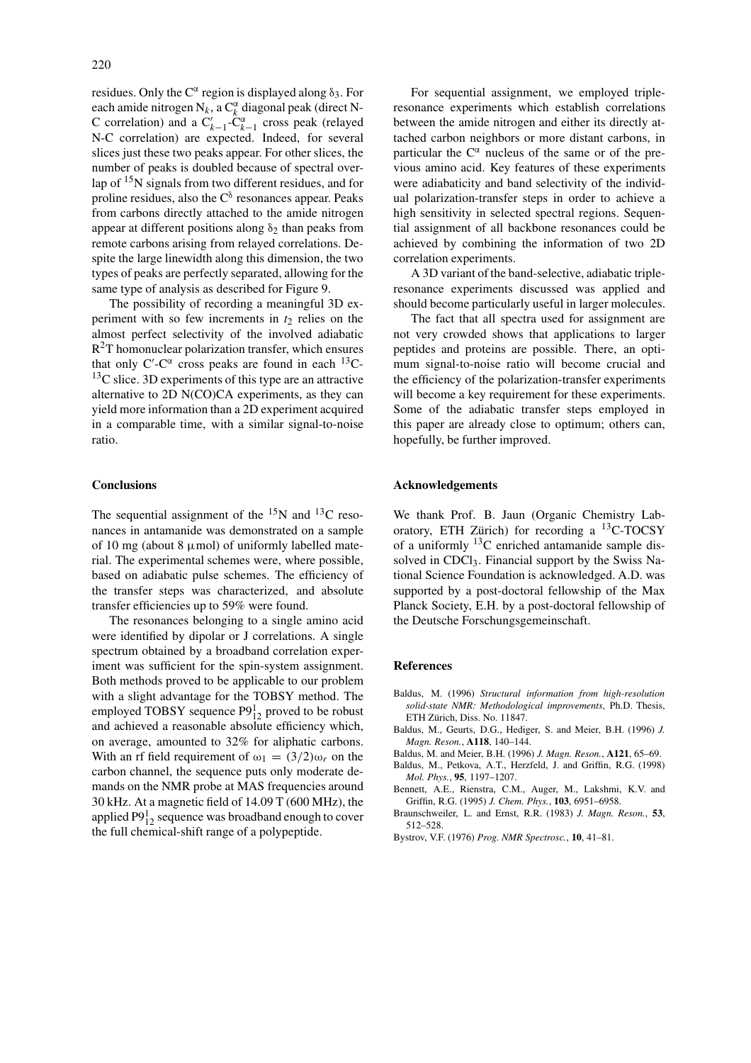residues. Only the  $C^{\alpha}$  region is displayed along  $\delta_3$ . For each amide nitrogen  $N_k$ , a  $C_k^{\alpha}$  diagonal peak (direct N-C correlation) and a  $C'_{k-1}$ - $C^{\alpha}_{k-1}$  cross peak (relayed N-C correlation) are expected. Indeed, for several slices just these two peaks appear. For other slices, the number of peaks is doubled because of spectral overlap of 15N signals from two different residues, and for proline residues, also the  $C^{\delta}$  resonances appear. Peaks from carbons directly attached to the amide nitrogen appear at different positions along  $\delta_2$  than peaks from remote carbons arising from relayed correlations. Despite the large linewidth along this dimension, the two types of peaks are perfectly separated, allowing for the same type of analysis as described for Figure 9.

The possibility of recording a meaningful 3D experiment with so few increments in  $t_2$  relies on the almost perfect selectivity of the involved adiabatic  $R<sup>2</sup>T$  homonuclear polarization transfer, which ensures that only C'-C $\alpha$  cross peaks are found in each  $^{13}$ C- $13<sup>13</sup>C$  slice. 3D experiments of this type are an attractive alternative to 2D N(CO)CA experiments, as they can yield more information than a 2D experiment acquired in a comparable time, with a similar signal-to-noise ratio.

## **Conclusions**

The sequential assignment of the  $^{15}N$  and  $^{13}C$  resonances in antamanide was demonstrated on a sample of 10 mg (about 8  $\mu$ mol) of uniformly labelled material. The experimental schemes were, where possible, based on adiabatic pulse schemes. The efficiency of the transfer steps was characterized, and absolute transfer efficiencies up to 59% were found.

The resonances belonging to a single amino acid were identified by dipolar or J correlations. A single spectrum obtained by a broadband correlation experiment was sufficient for the spin-system assignment. Both methods proved to be applicable to our problem with a slight advantage for the TOBSY method. The employed TOBSY sequence  $P9_{12}^1$  proved to be robust and achieved a reasonable absolute efficiency which, on average, amounted to 32% for aliphatic carbons. With an rf field requirement of  $\omega_1 = (3/2)\omega_r$  on the carbon channel, the sequence puts only moderate demands on the NMR probe at MAS frequencies around 30 kHz. At a magnetic field of 14.09 T (600 MHz), the applied  $\mathrm{P9}^1_{12}$  sequence was broadband enough to cover the full chemical-shift range of a polypeptide.

For sequential assignment, we employed tripleresonance experiments which establish correlations between the amide nitrogen and either its directly attached carbon neighbors or more distant carbons, in particular the  $C^{\alpha}$  nucleus of the same or of the previous amino acid. Key features of these experiments were adiabaticity and band selectivity of the individual polarization-transfer steps in order to achieve a high sensitivity in selected spectral regions. Sequential assignment of all backbone resonances could be achieved by combining the information of two 2D correlation experiments.

A 3D variant of the band-selective, adiabatic tripleresonance experiments discussed was applied and should become particularly useful in larger molecules.

The fact that all spectra used for assignment are not very crowded shows that applications to larger peptides and proteins are possible. There, an optimum signal-to-noise ratio will become crucial and the efficiency of the polarization-transfer experiments will become a key requirement for these experiments. Some of the adiabatic transfer steps employed in this paper are already close to optimum; others can, hopefully, be further improved.

## **Acknowledgements**

We thank Prof. B. Jaun (Organic Chemistry Laboratory, ETH Zürich) for recording a  ${}^{13}$ C-TOCSY of a uniformly  $^{13}$ C enriched antamanide sample dissolved in CDCl<sub>3</sub>. Financial support by the Swiss National Science Foundation is acknowledged. A.D. was supported by a post-doctoral fellowship of the Max Planck Society, E.H. by a post-doctoral fellowship of the Deutsche Forschungsgemeinschaft.

#### **References**

- Baldus, M. (1996) *Structural information from high-resolution solid-state NMR: Methodological improvements*, Ph.D. Thesis, ETH Zürich, Diss. No. 11847.
- Baldus, M., Geurts, D.G., Hediger, S. and Meier, B.H. (1996) *J. Magn. Reson.*, **A118**, 140–144.
- Baldus, M. and Meier, B.H. (1996) *J. Magn. Reson.*, **A121**, 65–69.
- Baldus, M., Petkova, A.T., Herzfeld, J. and Griffin, R.G. (1998) *Mol. Phys.*, **95**, 1197–1207.
- Bennett, A.E., Rienstra, C.M., Auger, M., Lakshmi, K.V. and Griffin, R.G. (1995) *J. Chem. Phys.*, **103**, 6951–6958.
- Braunschweiler, L. and Ernst, R.R. (1983) *J. Magn. Reson.*, **53**, 512–528.
- Bystrov, V.F. (1976) *Prog. NMR Spectrosc.*, **10**, 41–81.